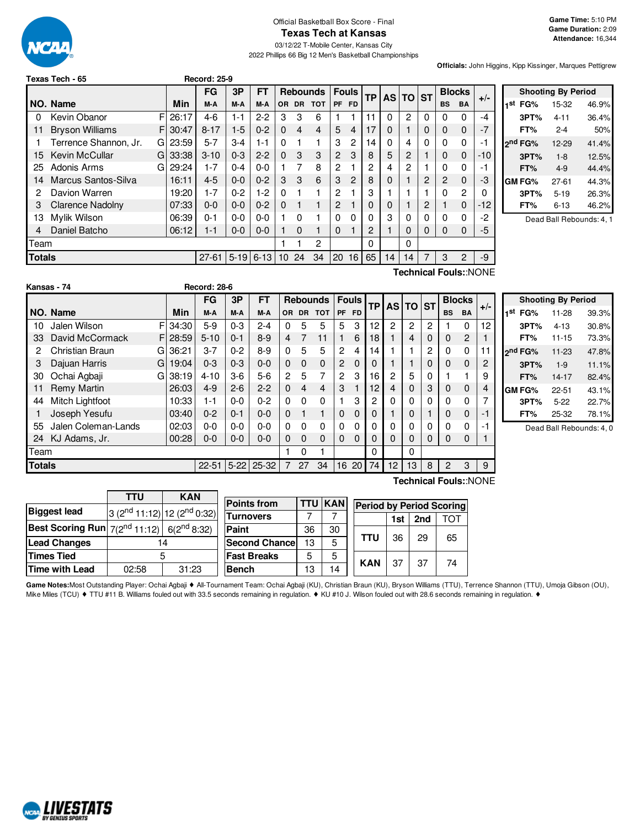

#### Official Basketball Box Score - Final **Texas Tech at Kansas**

03/12/22 T-Mobile Center, Kansas City

2022 Phillips 66 Big 12 Men's Basketball Championships

**Game Time:** 5:10 PM **Game Duration:** 2:09 **Attendance:** 16,344

**Officials:** John Higgins, Kipp Kissinger, Marques Pettigrew

|               | Texas Tech - 65        |   |       | <b>Record: 25-9</b> |            |          |                 |           |                 |                |                 |                |              |          |   |           |                |       |
|---------------|------------------------|---|-------|---------------------|------------|----------|-----------------|-----------|-----------------|----------------|-----------------|----------------|--------------|----------|---|-----------|----------------|-------|
|               |                        |   |       | FG                  | 3P         | FT       |                 |           | <b>Rebounds</b> | <b>Fouls</b>   |                 | <b>TP</b>      |              | AS TO ST |   |           | <b>Blocks</b>  |       |
|               | NO. Name               |   | Min   | M-A                 | M-A        | M-A      | OR.             | <b>DR</b> | <b>TOT</b>      | <b>PF</b>      | <b>FD</b>       |                |              |          |   | <b>BS</b> | BA             | $+/-$ |
| 0             | Kevin Obanor           | F | 26:17 | 4-6                 | 1-1        | $2 - 2$  | 3               | 3         | 6               |                |                 | 11             | 0            | 2        | 0 | 0         | 0              | -4    |
| 11            | <b>Bryson Williams</b> | F | 30:47 | $8 - 17$            | $1-5$      | $0 - 2$  | $\Omega$        | 4         | 4               | 5              | $\overline{4}$  | 17             | 0            |          | 0 | 0         | 0              | $-7$  |
|               | Terrence Shannon, Jr.  | G | 23:59 | $5 - 7$             | $3-4$      | 1-1      | $\Omega$        |           | 1               | 3              | 2               | 14             | 0            | 4        | 0 | 0         | 0              | -1    |
| 15            | <b>Kevin McCullar</b>  | G | 33:38 | $3 - 10$            | $0 - 3$    | $2 - 2$  | $\Omega$        | 3         | 3               | $\overline{2}$ | 3               | 8              | 5            | 2        |   | 0         | $\Omega$       | -10   |
| 25            | Adonis Arms            | G | 29:24 | $1 - 7$             | $0 - 4$    | $0 - 0$  |                 | 7         | 8               | 2              |                 | $\overline{2}$ | 4            | 2        |   | 0         | 0              | -1    |
| 14            | Marcus Santos-Silva    |   | 16:11 | $4 - 5$             | $0 - 0$    | $0 - 2$  | 3               | 3         | 6               | 3              | 2               | 8              | $\mathbf{0}$ |          | 2 | 2         | $\Omega$       | -3    |
| 2             | Davion Warren          |   | 19:20 | $1 - 7$             | $0 - 2$    | $1-2$    | $\Omega$        |           | 1               | 2              |                 | 3              |              |          |   | 0         | 2              | 0     |
| 3             | Clarence Nadolny       |   | 07:33 | $0 - 0$             | $0-0$      | $0 - 2$  | $\Omega$        |           | $\mathbf{1}$    | 2              |                 | $\mathbf 0$    | $\Omega$     |          | 2 |           | $\Omega$       | $-12$ |
| 13            | Mylik Wilson           |   | 06:39 | $0 - 1$             | $0 - 0$    | $0 - 0$  |                 | 0         | 1               | 0              | 0               | $\Omega$       | 3            | 0        | 0 | 0         | 0              | -2    |
| 4             | Daniel Batcho          |   | 06:12 | $1 - 1$             | $0 - 0$    | $0 - 0$  |                 | 0         | 1               | 0              |                 | 2              |              | $\Omega$ | 0 | 0         | $\Omega$       | -5    |
| Team          |                        |   |       |                     |            |          |                 |           | 2               |                |                 | 0              |              | 0        |   |           |                |       |
| <b>Totals</b> |                        |   |       | $27 - 61$           | $ 5 - 19 $ | $6 - 13$ | 10 <sup>°</sup> | 24        | 34              | 20             | 16 <sup>1</sup> | 65             | 14           | 14       | 7 | 3         | $\overline{2}$ | -9    |
|               | Technical Fouls::NONE  |   |       |                     |            |          |                 |           |                 |                |                 |                |              |          |   |           |                |       |

|     |                     | <b>Shooting By Period</b> |       |
|-----|---------------------|---------------------------|-------|
| 1st | FG%                 | 15-32                     | 46.9% |
|     | 3PT%                | 4-11                      | 36.4% |
|     | FT%                 | $2 - 4$                   | 50%   |
|     | 2 <sup>nd</sup> FG% | $12 - 29$                 | 41.4% |
|     | 3PT%                | $1 - 8$                   | 12.5% |
|     | FT%                 | $4 - 9$                   | 44.4% |
|     | GM FG%              | 27-61                     | 44.3% |
|     | 3PT%                | $5 - 19$                  | 26.3% |
|     | FT%                 | 6-13                      | 46.2% |
|     |                     |                           |       |

Dead Ball Rebounds: 4, 1

|               | Kansas - 74            |    |          | <b>Record: 28-6</b> |          |           |                |                |                 |                |              |    |              |                |           |                |               |       |                 |
|---------------|------------------------|----|----------|---------------------|----------|-----------|----------------|----------------|-----------------|----------------|--------------|----|--------------|----------------|-----------|----------------|---------------|-------|-----------------|
|               |                        |    |          | <b>FG</b>           | 3P       | <b>FT</b> |                |                | <b>Rebounds</b> |                | <b>Fouls</b> | ТP | <b>AS TO</b> |                | <b>ST</b> |                | <b>Blocks</b> | $+/-$ |                 |
|               | NO. Name               |    | Min      | M-A                 | M-A      | M-A       | <b>OR</b>      | <b>DR</b>      | <b>TOT</b>      | PF             | <b>FD</b>    |    |              |                |           | <b>BS</b>      | <b>BA</b>     |       | 1 <sup>st</sup> |
| 10            | Jalen Wilson           | F  | 34:30    | $5-9$               | $0 - 3$  | $2 - 4$   | 0              | 5              | 5               | 5              | 3            | 12 | 2            | $\overline{c}$ | 2         |                | 0             | 12    |                 |
| 33            | David McCormack        |    | FI 28:59 | $5 - 10$            | $0 - 1$  | $8-9$     | 4              |                | 11              |                | 6            | 18 |              | 4              | $\Omega$  | $\Omega$       | 2             |       |                 |
| 2             | <b>Christian Braun</b> | G. | 36:21    | $3 - 7$             | $0 - 2$  | $8-9$     | $\Omega$       | 5              | 5               | $\overline{2}$ | 4            | 14 |              |                | 2         | 0              | $\Omega$      | 11    | <sub>2nc</sub>  |
|               | Dajuan Harris          | GI | 19:04    | $0 - 3$             | $0 - 3$  | $0 - 0$   | $\Omega$       | $\Omega$       | $\Omega$        | $\overline{2}$ | $\mathbf 0$  | 0  |              |                | 0         | $\mathbf 0$    | 0             | 2     |                 |
| 30            | Ochai Agbaji           | G  | 38:19    | $4 - 10$            | $3-6$    | $5-6$     | $\overline{2}$ | 5              | 7               | 2              | 3            | 16 | 2            | 5              | $\Omega$  |                |               | 9     |                 |
| 11            | Remy Martin            |    | 26:03    | $4 - 9$             | $2 - 6$  | $2 - 2$   | $\Omega$       | $\overline{4}$ | 4               | 3              |              | 12 | 4            | $\Omega$       | 3         | 0              | $\Omega$      | 4     | GN              |
| 44            | Mitch Lightfoot        |    | 10:33    | $1 - 1$             | $0 - 0$  | $0 - 2$   | $\Omega$       | $\Omega$       | $\Omega$        |                | 3            | 2  | 0            | $\Omega$       | $\Omega$  | $\Omega$       | 0             | 7     |                 |
|               | Joseph Yesufu          |    | 03:40    | $0 - 2$             | $0 - 1$  | $0 - 0$   | $\Omega$       |                |                 | 0              | 0            | 0  |              |                |           | $\mathbf 0$    | 0             | -1    |                 |
| 55            | Jalen Coleman-Lands    |    | 02:03    | $0 - 0$             | $0 - 0$  | $0 - 0$   | $\Omega$       | $\Omega$       | $\Omega$        | 0              | 0            | 0  | O.           |                | 0         | 0              | 0             | $-1$  |                 |
| 24            | KJ Adams, Jr.          |    | 00:28    | $0 - 0$             | $0 - 0$  | $0 - 0$   | $\Omega$       | $\Omega$       | $\Omega$        | 0              | $\Omega$     | 0  | 0            | 0              | $\Omega$  | $\Omega$       | $\Omega$      |       |                 |
| Team          |                        |    |          |                     |          |           |                | 0              |                 |                |              | 0  |              | $\Omega$       |           |                |               |       |                 |
| <b>Totals</b> |                        |    |          | $22 - 51$           | $5 - 22$ | 25-32     | $\overline{7}$ | 27             | 34              | 16             | 20           | 74 | 12           | 13             | 8         | $\overline{2}$ | 3             | 9     |                 |

|     | <b>Shooting By Period</b> |           |       |  |  |  |  |  |  |
|-----|---------------------------|-----------|-------|--|--|--|--|--|--|
| 1st | FG%                       | 11-28     | 39.3% |  |  |  |  |  |  |
|     | 3PT%                      | $4 - 13$  | 30.8% |  |  |  |  |  |  |
|     | FT%                       | $11 - 15$ | 73.3% |  |  |  |  |  |  |
|     | 2 <sup>nd</sup> FG%       | $11 - 23$ | 47.8% |  |  |  |  |  |  |
|     | 3PT%                      | $1 - 9$   | 11.1% |  |  |  |  |  |  |
|     | FT%                       | $14 - 17$ | 82.4% |  |  |  |  |  |  |
|     | GM FG%                    | $22 - 51$ | 43.1% |  |  |  |  |  |  |
|     | 3PT%                      | $5-22$    | 22.7% |  |  |  |  |  |  |
|     | FT%                       | 25-32     | 78.1% |  |  |  |  |  |  |

Dead Ball Rebounds: 4, 0

**Technical Fouls:**:NONE

|                                                                   | <b>TTU</b> | <b>KAN</b>                                          |                 |  |  |
|-------------------------------------------------------------------|------------|-----------------------------------------------------|-----------------|--|--|
|                                                                   |            |                                                     | <b>Points f</b> |  |  |
| <b>Biggest lead</b>                                               |            | 3 (2 <sup>nd</sup> 11:12) 12 (2 <sup>nd</sup> 0:32) | Turnove         |  |  |
| <b>Best Scoring Run</b> $7(2^{nd} 11:12)$ 6(2 <sup>nd</sup> 8:32) |            |                                                     | Paint           |  |  |
| <b>Lead Changes</b>                                               |            | 14                                                  |                 |  |  |
| <b>Times Tied</b>                                                 | 5          | <b>Fast Bre</b>                                     |                 |  |  |
| <b>Time with Lead</b>                                             | 02:58      | 31:23                                               | <b>Bench</b>    |  |  |
|                                                                   |            |                                                     |                 |  |  |

| <b>Points from</b>    | TTU | <b>KAN</b> | <b>Period by Period Scoring</b> |     |     |     |
|-----------------------|-----|------------|---------------------------------|-----|-----|-----|
| <b>Turnovers</b>      |     |            |                                 | 1st | 2nd | τοτ |
| Paint                 | 36  | 30         |                                 | 36  | 29  |     |
| <b>Second Chancel</b> | 13  | 5          | <b>TTU</b>                      |     |     | 65  |
| <b>Fast Breaks</b>    | 5   |            | <b>KAN</b>                      |     |     | 74  |
| <b>Bench</b>          | 13  | 14         |                                 | 37  | 37  |     |

Game Notes:Most Outstanding Player: Ochai Agbaji ◆ All-Tournament Team: Ochai Agbaji (KU), Christian Braun (KU), Bryson Williams (TTU), Terrence Shannon (TTU), Umoja Gibson (OU), Mike Miles (TCU) ♦ TTU #11 B. Williams fouled out with 33.5 seconds remaining in regulation. ♦ KU #10 J. Wilson fouled out with 28.6 seconds remaining in regulation. ♦

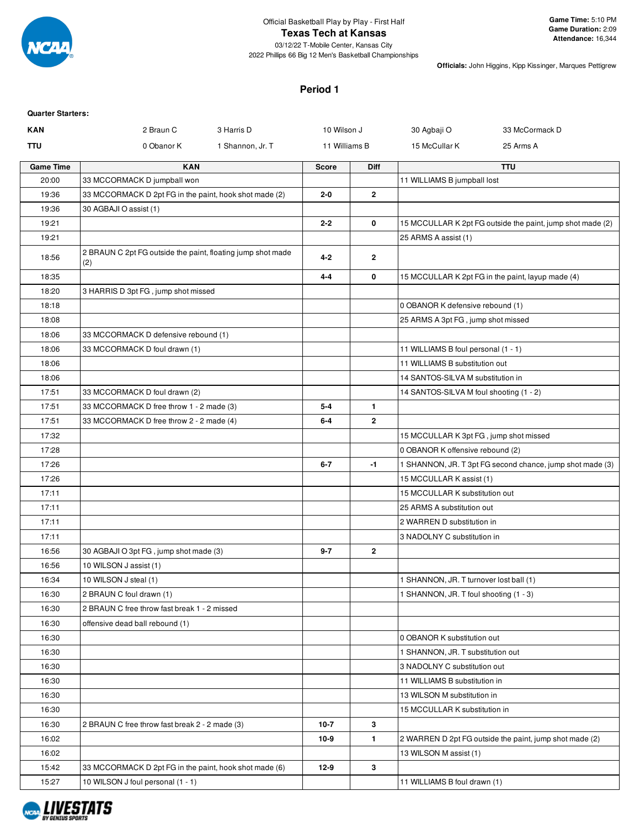

#### **Texas Tech at Kansas**

03/12/22 T-Mobile Center, Kansas City 2022 Phillips 66 Big 12 Men's Basketball Championships

**Officials:** John Higgins, Kipp Kissinger, Marques Pettigrew

### **Period 1**

#### **Quarter Starters:**

| KAN              | 2 Braun C<br>3 Harris D                                            | 10 Wilson J   |              | 30 Agbaji O                             | 33 McCormack D                                             |
|------------------|--------------------------------------------------------------------|---------------|--------------|-----------------------------------------|------------------------------------------------------------|
| TTU              | 0 Obanor K<br>1 Shannon, Jr. T                                     | 11 Williams B |              | 15 McCullar K                           | 25 Arms A                                                  |
| <b>Game Time</b> | <b>KAN</b>                                                         | <b>Score</b>  | <b>Diff</b>  |                                         | <b>TTU</b>                                                 |
| 20:00            | 33 MCCORMACK D jumpball won                                        |               |              | 11 WILLIAMS B jumpball lost             |                                                            |
| 19:36            | 33 MCCORMACK D 2pt FG in the paint, hook shot made (2)             | $2 - 0$       | $\mathbf{2}$ |                                         |                                                            |
| 19:36            | 30 AGBAJI O assist (1)                                             |               |              |                                         |                                                            |
| 19:21            |                                                                    | $2 - 2$       | 0            |                                         | 15 MCCULLAR K 2pt FG outside the paint, jump shot made (2) |
| 19:21            |                                                                    |               |              | 25 ARMS A assist (1)                    |                                                            |
| 18:56            | 2 BRAUN C 2pt FG outside the paint, floating jump shot made<br>(2) | $4 - 2$       | $\mathbf{2}$ |                                         |                                                            |
| 18:35            |                                                                    | 4-4           | 0            |                                         | 15 MCCULLAR K 2pt FG in the paint, layup made (4)          |
| 18:20            | 3 HARRIS D 3pt FG, jump shot missed                                |               |              |                                         |                                                            |
| 18:18            |                                                                    |               |              | 0 OBANOR K defensive rebound (1)        |                                                            |
| 18:08            |                                                                    |               |              | 25 ARMS A 3pt FG, jump shot missed      |                                                            |
| 18:06            | 33 MCCORMACK D defensive rebound (1)                               |               |              |                                         |                                                            |
| 18:06            | 33 MCCORMACK D foul drawn (1)                                      |               |              | 11 WILLIAMS B foul personal (1 - 1)     |                                                            |
| 18:06            |                                                                    |               |              | 11 WILLIAMS B substitution out          |                                                            |
| 18:06            |                                                                    |               |              | 14 SANTOS-SILVA M substitution in       |                                                            |
| 17:51            | 33 MCCORMACK D foul drawn (2)                                      |               |              | 14 SANTOS-SILVA M foul shooting (1 - 2) |                                                            |
| 17:51            | 33 MCCORMACK D free throw 1 - 2 made (3)                           | $5 - 4$       | $\mathbf{1}$ |                                         |                                                            |
| 17:51            | 33 MCCORMACK D free throw 2 - 2 made (4)                           | $6 - 4$       | $\mathbf{2}$ |                                         |                                                            |
| 17:32            |                                                                    |               |              | 15 MCCULLAR K 3pt FG, jump shot missed  |                                                            |
| 17:28            |                                                                    |               |              | 0 OBANOR K offensive rebound (2)        |                                                            |
| 17:26            |                                                                    | $6 - 7$       | $-1$         |                                         | 1 SHANNON, JR. T 3pt FG second chance, jump shot made (3)  |
| 17:26            |                                                                    |               |              | 15 MCCULLAR K assist (1)                |                                                            |
| 17:11            |                                                                    |               |              | 15 MCCULLAR K substitution out          |                                                            |
| 17:11            |                                                                    |               |              | 25 ARMS A substitution out              |                                                            |
| 17:11            |                                                                    |               |              | 2 WARREN D substitution in              |                                                            |
| 17:11            |                                                                    |               |              | 3 NADOLNY C substitution in             |                                                            |
| 16:56            | 30 AGBAJI O 3pt FG, jump shot made (3)                             | $9 - 7$       | $\mathbf{2}$ |                                         |                                                            |
| 16:56            | 10 WILSON J assist (1)                                             |               |              |                                         |                                                            |
| 16:34            | 10 WILSON J steal (1)                                              |               |              | 1 SHANNON, JR. T turnover lost ball (1) |                                                            |
| 16:30            | 2 BRAUN C foul drawn (1)                                           |               |              | 1 SHANNON, JR. T foul shooting (1 - 3)  |                                                            |
| 16:30            | 2 BRAUN C free throw fast break 1 - 2 missed                       |               |              |                                         |                                                            |
| 16:30            | offensive dead ball rebound (1)                                    |               |              |                                         |                                                            |
| 16:30            |                                                                    |               |              | 0 OBANOR K substitution out             |                                                            |
| 16:30            |                                                                    |               |              | 1 SHANNON, JR. T substitution out       |                                                            |
| 16:30            |                                                                    |               |              | 3 NADOLNY C substitution out            |                                                            |
| 16:30            |                                                                    |               |              | 11 WILLIAMS B substitution in           |                                                            |
| 16:30            |                                                                    |               |              | 13 WILSON M substitution in             |                                                            |
| 16:30            |                                                                    |               |              | 15 MCCULLAR K substitution in           |                                                            |
| 16:30            | 2 BRAUN C free throw fast break 2 - 2 made (3)                     | $10-7$        | 3            |                                         |                                                            |
| 16:02            |                                                                    | $10-9$        | $\mathbf{1}$ |                                         | 2 WARREN D 2pt FG outside the paint, jump shot made (2)    |
| 16:02            |                                                                    |               |              | 13 WILSON M assist (1)                  |                                                            |
| 15:42            | 33 MCCORMACK D 2pt FG in the paint, hook shot made (6)             | $12-9$        | 3            |                                         |                                                            |
| 15:27            | 10 WILSON J foul personal (1 - 1)                                  |               |              | 11 WILLIAMS B foul drawn (1)            |                                                            |

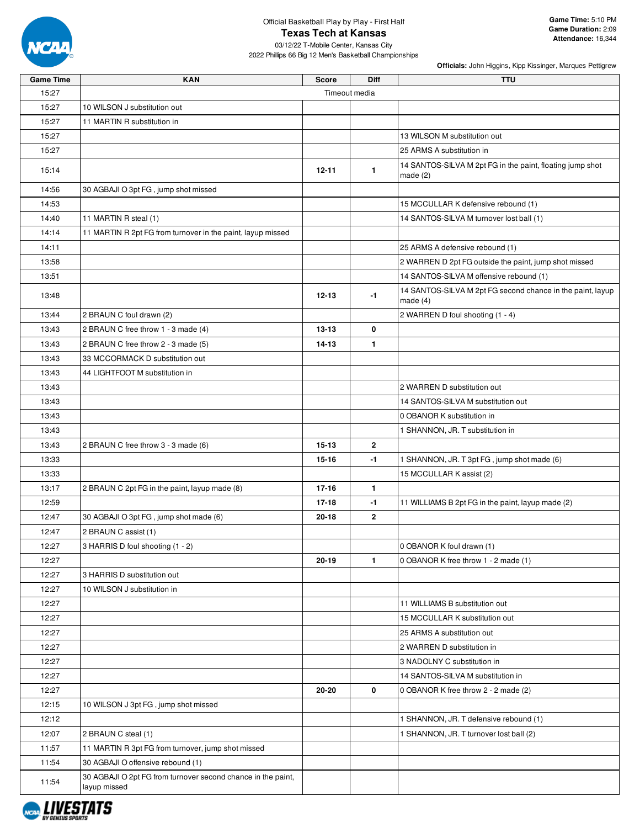

03/12/22 T-Mobile Center, Kansas City 2022 Phillips 66 Big 12 Men's Basketball Championships

| <b>Game Time</b> | <b>KAN</b>                                                                   | <b>Score</b>  | Diff         | <b>TTU</b>                                                               |
|------------------|------------------------------------------------------------------------------|---------------|--------------|--------------------------------------------------------------------------|
| 15:27            |                                                                              | Timeout media |              |                                                                          |
| 15:27            | 10 WILSON J substitution out                                                 |               |              |                                                                          |
| 15:27            | 11 MARTIN R substitution in                                                  |               |              |                                                                          |
| 15:27            |                                                                              |               |              | 13 WILSON M substitution out                                             |
| 15:27            |                                                                              |               |              | 25 ARMS A substitution in                                                |
| 15:14            |                                                                              | $12 - 11$     | $\mathbf{1}$ | 14 SANTOS-SILVA M 2pt FG in the paint, floating jump shot<br>made $(2)$  |
| 14:56            | 30 AGBAJI O 3pt FG, jump shot missed                                         |               |              |                                                                          |
| 14:53            |                                                                              |               |              | 15 MCCULLAR K defensive rebound (1)                                      |
| 14:40            | 11 MARTIN R steal (1)                                                        |               |              | 14 SANTOS-SILVA M turnover lost ball (1)                                 |
| 14:14            | 11 MARTIN R 2pt FG from turnover in the paint, layup missed                  |               |              |                                                                          |
| 14:11            |                                                                              |               |              | 25 ARMS A defensive rebound (1)                                          |
| 13:58            |                                                                              |               |              | 2 WARREN D 2pt FG outside the paint, jump shot missed                    |
| 13:51            |                                                                              |               |              | 14 SANTOS-SILVA M offensive rebound (1)                                  |
| 13:48            |                                                                              | $12 - 13$     | $-1$         | 14 SANTOS-SILVA M 2pt FG second chance in the paint, layup<br>made $(4)$ |
| 13:44            | 2 BRAUN C foul drawn (2)                                                     |               |              | 2 WARREN D foul shooting (1 - 4)                                         |
| 13:43            | 2 BRAUN C free throw 1 - 3 made (4)                                          | $13 - 13$     | 0            |                                                                          |
| 13:43            | 2 BRAUN C free throw 2 - 3 made (5)                                          | $14 - 13$     | 1.           |                                                                          |
| 13:43            | 33 MCCORMACK D substitution out                                              |               |              |                                                                          |
| 13:43            | 44 LIGHTFOOT M substitution in                                               |               |              |                                                                          |
| 13:43            |                                                                              |               |              | 2 WARREN D substitution out                                              |
| 13:43            |                                                                              |               |              | 14 SANTOS-SILVA M substitution out                                       |
| 13:43            |                                                                              |               |              | 0 OBANOR K substitution in                                               |
| 13:43            |                                                                              |               |              | 1 SHANNON, JR. T substitution in                                         |
| 13:43            | 2 BRAUN C free throw 3 - 3 made (6)                                          | $15 - 13$     | $\mathbf{2}$ |                                                                          |
| 13:33            |                                                                              | $15 - 16$     | $-1$         | 1 SHANNON, JR. T 3pt FG, jump shot made (6)                              |
| 13:33            |                                                                              |               |              | 15 MCCULLAR K assist (2)                                                 |
| 13:17            | 2 BRAUN C 2pt FG in the paint, layup made (8)                                | $17 - 16$     | 1.           |                                                                          |
| 12:59            |                                                                              | $17-18$       | $-1$         | 11 WILLIAMS B 2pt FG in the paint, layup made (2)                        |
| 12:47            | 30 AGBAJI O 3pt FG, jump shot made (6)                                       | 20-18         | $\mathbf{2}$ |                                                                          |
| 12:47            | 2 BRAUN C assist (1)                                                         |               |              |                                                                          |
| 12:27            | 3 HARRIS D foul shooting (1 - 2)                                             |               |              | 0 OBANOR K foul drawn (1)                                                |
| 12:27            |                                                                              | $20 - 19$     | $\mathbf{1}$ | 0 OBANOR K free throw 1 - 2 made (1)                                     |
| 12:27            | 3 HARRIS D substitution out                                                  |               |              |                                                                          |
| 12:27            | 10 WILSON J substitution in                                                  |               |              |                                                                          |
| 12:27            |                                                                              |               |              | 11 WILLIAMS B substitution out                                           |
| 12:27            |                                                                              |               |              | 15 MCCULLAR K substitution out                                           |
| 12:27            |                                                                              |               |              | 25 ARMS A substitution out                                               |
| 12:27            |                                                                              |               |              | 2 WARREN D substitution in                                               |
| 12:27            |                                                                              |               |              | 3 NADOLNY C substitution in                                              |
| 12:27            |                                                                              |               |              | 14 SANTOS-SILVA M substitution in                                        |
| 12:27            |                                                                              | 20-20         | 0            | 0 OBANOR K free throw 2 - 2 made (2)                                     |
| 12:15            | 10 WILSON J 3pt FG, jump shot missed                                         |               |              |                                                                          |
| 12:12            |                                                                              |               |              | 1 SHANNON, JR. T defensive rebound (1)                                   |
| 12:07            | 2 BRAUN C steal (1)                                                          |               |              | 1 SHANNON, JR. T turnover lost ball (2)                                  |
| 11:57            | 11 MARTIN R 3pt FG from turnover, jump shot missed                           |               |              |                                                                          |
|                  |                                                                              |               |              |                                                                          |
| 11:54            | 30 AGBAJI O offensive rebound (1)                                            |               |              |                                                                          |
| 11.54            | 30 AGBAJI O 2pt FG from turnover second chance in the paint,<br>layup missed |               |              |                                                                          |

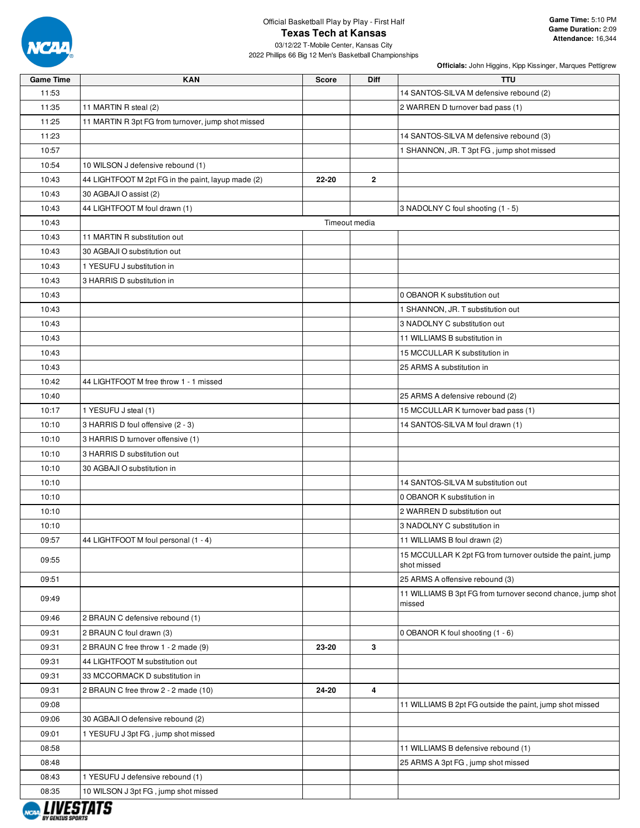

03/12/22 T-Mobile Center, Kansas City 2022 Phillips 66 Big 12 Men's Basketball Championships

| <b>Game Time</b> | <b>KAN</b>                                         | <b>Score</b> | <b>Diff</b>   | <b>TTU</b>                                                                |
|------------------|----------------------------------------------------|--------------|---------------|---------------------------------------------------------------------------|
| 11:53            |                                                    |              |               | 14 SANTOS-SILVA M defensive rebound (2)                                   |
| 11:35            | 11 MARTIN R steal (2)                              |              |               | 2 WARREN D turnover bad pass (1)                                          |
| 11:25            | 11 MARTIN R 3pt FG from turnover, jump shot missed |              |               |                                                                           |
| 11:23            |                                                    |              |               | 14 SANTOS-SILVA M defensive rebound (3)                                   |
| 10:57            |                                                    |              |               | 1 SHANNON, JR. T 3pt FG, jump shot missed                                 |
| 10:54            | 10 WILSON J defensive rebound (1)                  |              |               |                                                                           |
| 10:43            | 44 LIGHTFOOT M 2pt FG in the paint, layup made (2) | 22-20        | $\mathbf{2}$  |                                                                           |
| 10:43            | 30 AGBAJI O assist (2)                             |              |               |                                                                           |
| 10:43            | 44 LIGHTFOOT M foul drawn (1)                      |              |               | 3 NADOLNY C foul shooting (1 - 5)                                         |
| 10:43            |                                                    |              | Timeout media |                                                                           |
| 10:43            | 11 MARTIN R substitution out                       |              |               |                                                                           |
| 10:43            | 30 AGBAJI O substitution out                       |              |               |                                                                           |
| 10:43            | 1 YESUFU J substitution in                         |              |               |                                                                           |
| 10:43            | 3 HARRIS D substitution in                         |              |               |                                                                           |
| 10:43            |                                                    |              |               | 0 OBANOR K substitution out                                               |
| 10:43            |                                                    |              |               | 1 SHANNON, JR. T substitution out                                         |
| 10:43            |                                                    |              |               | 3 NADOLNY C substitution out                                              |
| 10:43            |                                                    |              |               | 11 WILLIAMS B substitution in                                             |
| 10:43            |                                                    |              |               | 15 MCCULLAR K substitution in                                             |
| 10:43            |                                                    |              |               | 25 ARMS A substitution in                                                 |
| 10:42            | 44 LIGHTFOOT M free throw 1 - 1 missed             |              |               |                                                                           |
| 10:40            |                                                    |              |               | 25 ARMS A defensive rebound (2)                                           |
| 10:17            | 1 YESUFU J steal (1)                               |              |               | 15 MCCULLAR K turnover bad pass (1)                                       |
| 10:10            | 3 HARRIS D foul offensive (2 - 3)                  |              |               | 14 SANTOS-SILVA M foul drawn (1)                                          |
| 10:10            | 3 HARRIS D turnover offensive (1)                  |              |               |                                                                           |
| 10:10            | 3 HARRIS D substitution out                        |              |               |                                                                           |
| 10:10            | 30 AGBAJI O substitution in                        |              |               |                                                                           |
| 10:10            |                                                    |              |               | 14 SANTOS-SILVA M substitution out                                        |
| 10:10            |                                                    |              |               | 0 OBANOR K substitution in                                                |
| 10:10            |                                                    |              |               | 2 WARREN D substitution out                                               |
| 10:10            |                                                    |              |               | 3 NADOLNY C substitution in                                               |
| 09:57            | 44 LIGHTFOOT M foul personal (1 - 4)               |              |               | 11 WILLIAMS B foul drawn (2)                                              |
| 09:55            |                                                    |              |               | 15 MCCULLAR K 2pt FG from turnover outside the paint, jump<br>shot missed |
| 09:51            |                                                    |              |               | 25 ARMS A offensive rebound (3)                                           |
| 09:49            |                                                    |              |               | 11 WILLIAMS B 3pt FG from turnover second chance, jump shot<br>missed     |
| 09:46            | 2 BRAUN C defensive rebound (1)                    |              |               |                                                                           |
| 09:31            | 2 BRAUN C foul drawn (3)                           |              |               | 0 OBANOR K foul shooting (1 - 6)                                          |
| 09:31            | 2 BRAUN C free throw 1 - 2 made (9)                | 23-20        | 3             |                                                                           |
| 09:31            | 44 LIGHTFOOT M substitution out                    |              |               |                                                                           |
| 09:31            | 33 MCCORMACK D substitution in                     |              |               |                                                                           |
| 09:31            | 2 BRAUN C free throw 2 - 2 made (10)               | 24-20        | 4             |                                                                           |
| 09:08            |                                                    |              |               | 11 WILLIAMS B 2pt FG outside the paint, jump shot missed                  |
| 09:06            | 30 AGBAJI O defensive rebound (2)                  |              |               |                                                                           |
| 09:01            | 1 YESUFU J 3pt FG, jump shot missed                |              |               |                                                                           |
| 08:58            |                                                    |              |               | 11 WILLIAMS B defensive rebound (1)                                       |
| 08:48            |                                                    |              |               | 25 ARMS A 3pt FG, jump shot missed                                        |
| 08:43            | 1 YESUFU J defensive rebound (1)                   |              |               |                                                                           |
| 08:35            | 10 WILSON J 3pt FG, jump shot missed               |              |               |                                                                           |

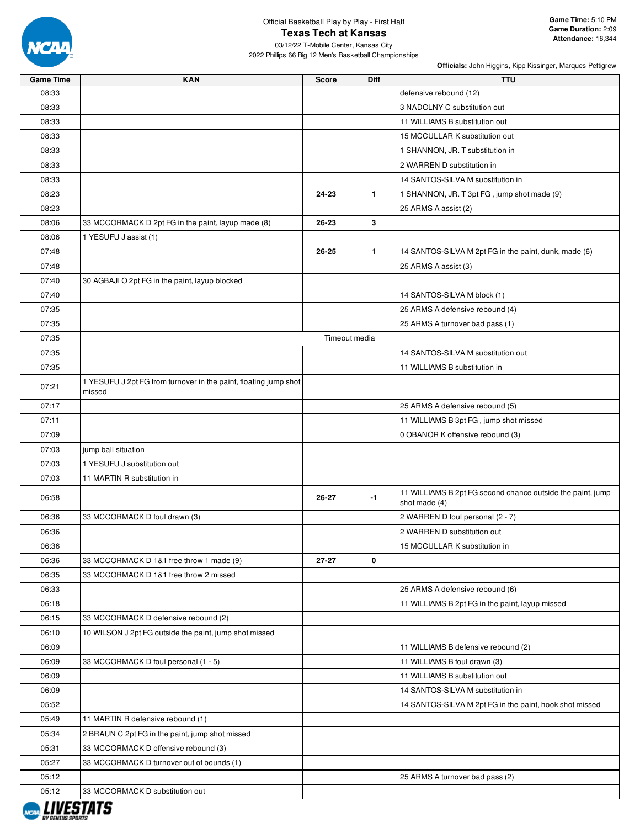

03/12/22 T-Mobile Center, Kansas City 2022 Phillips 66 Big 12 Men's Basketball Championships

| <b>Game Time</b> | <b>KAN</b>                                                                 | Score     | Diff          | <b>TTU</b>                                                                  |
|------------------|----------------------------------------------------------------------------|-----------|---------------|-----------------------------------------------------------------------------|
| 08:33            |                                                                            |           |               | defensive rebound (12)                                                      |
| 08:33            |                                                                            |           |               | 3 NADOLNY C substitution out                                                |
| 08:33            |                                                                            |           |               | 11 WILLIAMS B substitution out                                              |
| 08:33            |                                                                            |           |               | 15 MCCULLAR K substitution out                                              |
| 08:33            |                                                                            |           |               | 1 SHANNON, JR. T substitution in                                            |
| 08:33            |                                                                            |           |               | 2 WARREN D substitution in                                                  |
| 08:33            |                                                                            |           |               | 14 SANTOS-SILVA M substitution in                                           |
| 08:23            |                                                                            | 24-23     | $\mathbf{1}$  | 1 SHANNON, JR. T 3pt FG, jump shot made (9)                                 |
| 08:23            |                                                                            |           |               | 25 ARMS A assist (2)                                                        |
| 08:06            | 33 MCCORMACK D 2pt FG in the paint, layup made (8)                         | 26-23     | 3             |                                                                             |
| 08:06            | 1 YESUFU J assist (1)                                                      |           |               |                                                                             |
| 07:48            |                                                                            | 26-25     | $\mathbf{1}$  | 14 SANTOS-SILVA M 2pt FG in the paint, dunk, made (6)                       |
| 07:48            |                                                                            |           |               | 25 ARMS A assist (3)                                                        |
| 07:40            | 30 AGBAJI O 2pt FG in the paint, layup blocked                             |           |               |                                                                             |
| 07:40            |                                                                            |           |               | 14 SANTOS-SILVA M block (1)                                                 |
| 07:35            |                                                                            |           |               | 25 ARMS A defensive rebound (4)                                             |
| 07:35            |                                                                            |           |               | 25 ARMS A turnover bad pass (1)                                             |
| 07:35            |                                                                            |           | Timeout media |                                                                             |
| 07:35            |                                                                            |           |               | 14 SANTOS-SILVA M substitution out                                          |
| 07:35            |                                                                            |           |               | 11 WILLIAMS B substitution in                                               |
| 07:21            | 1 YESUFU J 2pt FG from turnover in the paint, floating jump shot<br>missed |           |               |                                                                             |
| 07:17            |                                                                            |           |               | 25 ARMS A defensive rebound (5)                                             |
| 07:11            |                                                                            |           |               | 11 WILLIAMS B 3pt FG, jump shot missed                                      |
| 07:09            |                                                                            |           |               | 0 OBANOR K offensive rebound (3)                                            |
| 07:03            | jump ball situation                                                        |           |               |                                                                             |
| 07:03            | 1 YESUFU J substitution out                                                |           |               |                                                                             |
| 07:03            | 11 MARTIN R substitution in                                                |           |               |                                                                             |
| 06:58            |                                                                            | $26 - 27$ | $-1$          | 11 WILLIAMS B 2pt FG second chance outside the paint, jump<br>shot made (4) |
| 06:36            | 33 MCCORMACK D foul drawn (3)                                              |           |               | 2 WARREN D foul personal (2 - 7)                                            |
| 06:36            |                                                                            |           |               | 2 WARREN D substitution out                                                 |
| 06:36            |                                                                            |           |               | 15 MCCULLAR K substitution in                                               |
| 06:36            | 33 MCCORMACK D 1&1 free throw 1 made (9)                                   | $27 - 27$ | 0             |                                                                             |
| 06:35            | 33 MCCORMACK D 1&1 free throw 2 missed                                     |           |               |                                                                             |
| 06:33            |                                                                            |           |               | 25 ARMS A defensive rebound (6)                                             |
| 06:18            |                                                                            |           |               | 11 WILLIAMS B 2pt FG in the paint, layup missed                             |
| 06:15            | 33 MCCORMACK D defensive rebound (2)                                       |           |               |                                                                             |
| 06:10            | 10 WILSON J 2pt FG outside the paint, jump shot missed                     |           |               |                                                                             |
| 06:09            |                                                                            |           |               | 11 WILLIAMS B defensive rebound (2)                                         |
| 06:09            | 33 MCCORMACK D foul personal (1 - 5)                                       |           |               | 11 WILLIAMS B foul drawn (3)                                                |
| 06:09            |                                                                            |           |               | 11 WILLIAMS B substitution out                                              |
| 06:09            |                                                                            |           |               | 14 SANTOS-SILVA M substitution in                                           |
| 05:52            |                                                                            |           |               | 14 SANTOS-SILVA M 2pt FG in the paint, hook shot missed                     |
| 05:49            | 11 MARTIN R defensive rebound (1)                                          |           |               |                                                                             |
| 05:34            | 2 BRAUN C 2pt FG in the paint, jump shot missed                            |           |               |                                                                             |
| 05:31            | 33 MCCORMACK D offensive rebound (3)                                       |           |               |                                                                             |
| 05:27            | 33 MCCORMACK D turnover out of bounds (1)                                  |           |               |                                                                             |
| 05:12            |                                                                            |           |               | 25 ARMS A turnover bad pass (2)                                             |
| 05:12            | 33 MCCORMACK D substitution out                                            |           |               |                                                                             |
|                  |                                                                            |           |               |                                                                             |

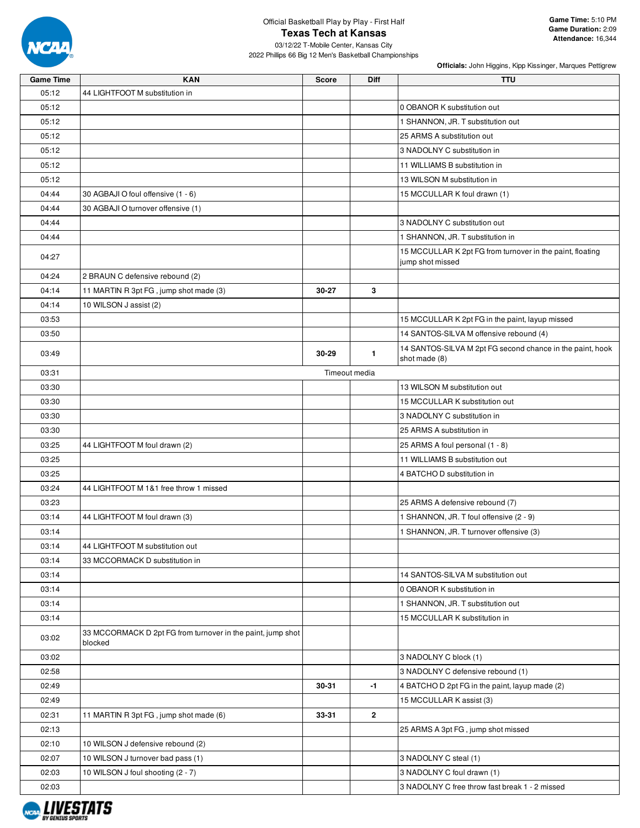

03/12/22 T-Mobile Center, Kansas City 2022 Phillips 66 Big 12 Men's Basketball Championships

| <b>Game Time</b> | <b>KAN</b>                                                             | <b>Score</b> | Diff                    | <b>TTU</b>                                                                    |
|------------------|------------------------------------------------------------------------|--------------|-------------------------|-------------------------------------------------------------------------------|
| 05:12            | 44 LIGHTFOOT M substitution in                                         |              |                         |                                                                               |
| 05:12            |                                                                        |              |                         | 0 OBANOR K substitution out                                                   |
| 05:12            |                                                                        |              |                         | 1 SHANNON, JR. T substitution out                                             |
| 05:12            |                                                                        |              |                         | 25 ARMS A substitution out                                                    |
| 05:12            |                                                                        |              |                         | 3 NADOLNY C substitution in                                                   |
| 05:12            |                                                                        |              |                         | 11 WILLIAMS B substitution in                                                 |
| 05:12            |                                                                        |              |                         | 13 WILSON M substitution in                                                   |
| 04:44            | 30 AGBAJI O foul offensive (1 - 6)                                     |              |                         | 15 MCCULLAR K foul drawn (1)                                                  |
| 04:44            | 30 AGBAJI O turnover offensive (1)                                     |              |                         |                                                                               |
| 04:44            |                                                                        |              |                         | 3 NADOLNY C substitution out                                                  |
| 04:44            |                                                                        |              |                         | 1 SHANNON, JR. T substitution in                                              |
| 04:27            |                                                                        |              |                         | 15 MCCULLAR K 2pt FG from turnover in the paint, floating<br>jump shot missed |
| 04:24            | 2 BRAUN C defensive rebound (2)                                        |              |                         |                                                                               |
| 04:14            | 11 MARTIN R 3pt FG, jump shot made (3)                                 | 30-27        | 3                       |                                                                               |
| 04:14            | 10 WILSON J assist (2)                                                 |              |                         |                                                                               |
| 03:53            |                                                                        |              |                         | 15 MCCULLAR K 2pt FG in the paint, layup missed                               |
| 03:50            |                                                                        |              |                         | 14 SANTOS-SILVA M offensive rebound (4)                                       |
| 03:49            |                                                                        | 30-29        | 1                       | 14 SANTOS-SILVA M 2pt FG second chance in the paint, hook<br>shot made (8)    |
| 03:31            |                                                                        |              | Timeout media           |                                                                               |
| 03:30            |                                                                        |              |                         | 13 WILSON M substitution out                                                  |
| 03:30            |                                                                        |              |                         | 15 MCCULLAR K substitution out                                                |
| 03:30            |                                                                        |              |                         | 3 NADOLNY C substitution in                                                   |
| 03:30            |                                                                        |              |                         | 25 ARMS A substitution in                                                     |
| 03:25            | 44 LIGHTFOOT M foul drawn (2)                                          |              |                         | 25 ARMS A foul personal (1 - 8)                                               |
| 03:25            |                                                                        |              |                         | 11 WILLIAMS B substitution out                                                |
| 03:25            |                                                                        |              |                         | 4 BATCHO D substitution in                                                    |
| 03:24            | 44 LIGHTFOOT M 1&1 free throw 1 missed                                 |              |                         |                                                                               |
| 03:23            |                                                                        |              |                         | 25 ARMS A defensive rebound (7)                                               |
| 03:14            | 44 LIGHTFOOT M foul drawn (3)                                          |              |                         | 1 SHANNON, JR. T foul offensive (2 - 9)                                       |
| 03:14            |                                                                        |              |                         | 1 SHANNON, JR. T turnover offensive (3)                                       |
| 03:14            | 44 LIGHTFOOT M substitution out                                        |              |                         |                                                                               |
| 03:14            | 33 MCCORMACK D substitution in                                         |              |                         |                                                                               |
| 03:14            |                                                                        |              |                         | 14 SANTOS-SILVA M substitution out                                            |
| 03:14            |                                                                        |              |                         | 0 OBANOR K substitution in                                                    |
| 03:14            |                                                                        |              |                         | 1 SHANNON, JR. T substitution out                                             |
| 03:14            |                                                                        |              |                         | 15 MCCULLAR K substitution in                                                 |
| 03:02            | 33 MCCORMACK D 2pt FG from turnover in the paint, jump shot<br>blocked |              |                         |                                                                               |
| 03:02            |                                                                        |              |                         | 3 NADOLNY C block (1)                                                         |
| 02:58            |                                                                        |              |                         | 3 NADOLNY C defensive rebound (1)                                             |
| 02:49            |                                                                        | 30-31        | -1                      | 4 BATCHO D 2pt FG in the paint, layup made (2)                                |
| 02:49            |                                                                        |              |                         | 15 MCCULLAR K assist (3)                                                      |
| 02:31            | 11 MARTIN R 3pt FG, jump shot made (6)                                 | 33-31        | $\overline{\mathbf{2}}$ |                                                                               |
| 02:13            |                                                                        |              |                         | 25 ARMS A 3pt FG, jump shot missed                                            |
| 02:10            | 10 WILSON J defensive rebound (2)                                      |              |                         |                                                                               |
| 02:07            | 10 WILSON J turnover bad pass (1)                                      |              |                         | 3 NADOLNY C steal (1)                                                         |
| 02:03            | 10 WILSON J foul shooting (2 - 7)                                      |              |                         | 3 NADOLNY C foul drawn (1)                                                    |
| 02:03            |                                                                        |              |                         | 3 NADOLNY C free throw fast break 1 - 2 missed                                |

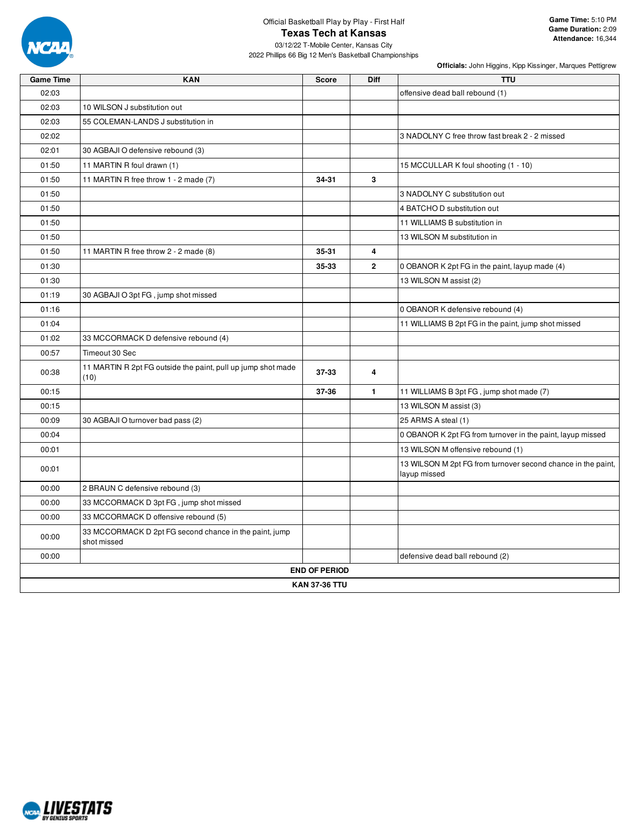

03/12/22 T-Mobile Center, Kansas City 2022 Phillips 66 Big 12 Men's Basketball Championships

| <b>Game Time</b> | <b>KAN</b>                                                            | <b>Score</b>         | Diff         | <b>TTU</b>                                                                   |  |  |  |  |  |  |
|------------------|-----------------------------------------------------------------------|----------------------|--------------|------------------------------------------------------------------------------|--|--|--|--|--|--|
| 02:03            |                                                                       |                      |              | offensive dead ball rebound (1)                                              |  |  |  |  |  |  |
| 02:03            | 10 WILSON J substitution out                                          |                      |              |                                                                              |  |  |  |  |  |  |
| 02:03            | 55 COLEMAN-LANDS J substitution in                                    |                      |              |                                                                              |  |  |  |  |  |  |
| 02:02            |                                                                       |                      |              | 3 NADOLNY C free throw fast break 2 - 2 missed                               |  |  |  |  |  |  |
| 02:01            | 30 AGBAJI O defensive rebound (3)                                     |                      |              |                                                                              |  |  |  |  |  |  |
| 01:50            | 11 MARTIN R foul drawn (1)                                            |                      |              | 15 MCCULLAR K foul shooting (1 - 10)                                         |  |  |  |  |  |  |
| 01:50            | 11 MARTIN R free throw 1 - 2 made (7)                                 | 34-31                | 3            |                                                                              |  |  |  |  |  |  |
| 01:50            |                                                                       |                      |              | 3 NADOLNY C substitution out                                                 |  |  |  |  |  |  |
| 01:50            |                                                                       |                      |              | 4 BATCHO D substitution out                                                  |  |  |  |  |  |  |
| 01:50            |                                                                       |                      |              | 11 WILLIAMS B substitution in                                                |  |  |  |  |  |  |
| 01:50            |                                                                       |                      |              | 13 WILSON M substitution in                                                  |  |  |  |  |  |  |
| 01:50            | 11 MARTIN R free throw 2 - 2 made (8)                                 | 35-31                | 4            |                                                                              |  |  |  |  |  |  |
| 01:30            |                                                                       | 35-33                | $\mathbf{2}$ | 0 OBANOR K 2pt FG in the paint, layup made (4)                               |  |  |  |  |  |  |
| 01:30            |                                                                       |                      |              | 13 WILSON M assist (2)                                                       |  |  |  |  |  |  |
| 01:19            | 30 AGBAJI O 3pt FG, jump shot missed                                  |                      |              |                                                                              |  |  |  |  |  |  |
| 01:16            |                                                                       |                      |              | 0 OBANOR K defensive rebound (4)                                             |  |  |  |  |  |  |
| 01:04            |                                                                       |                      |              | 11 WILLIAMS B 2pt FG in the paint, jump shot missed                          |  |  |  |  |  |  |
| 01:02            | 33 MCCORMACK D defensive rebound (4)                                  |                      |              |                                                                              |  |  |  |  |  |  |
| 00:57            | Timeout 30 Sec                                                        |                      |              |                                                                              |  |  |  |  |  |  |
| 00:38            | 11 MARTIN R 2pt FG outside the paint, pull up jump shot made<br>(10)  | 37-33                | 4            |                                                                              |  |  |  |  |  |  |
| 00:15            |                                                                       | 37-36                | $\mathbf{1}$ | 11 WILLIAMS B 3pt FG, jump shot made (7)                                     |  |  |  |  |  |  |
| 00:15            |                                                                       |                      |              | 13 WILSON M assist (3)                                                       |  |  |  |  |  |  |
| 00:09            | 30 AGBAJI O turnover bad pass (2)                                     |                      |              | 25 ARMS A steal (1)                                                          |  |  |  |  |  |  |
| 00:04            |                                                                       |                      |              | 0 OBANOR K 2pt FG from turnover in the paint, layup missed                   |  |  |  |  |  |  |
| 00:01            |                                                                       |                      |              | 13 WILSON M offensive rebound (1)                                            |  |  |  |  |  |  |
| 00:01            |                                                                       |                      |              | 13 WILSON M 2pt FG from turnover second chance in the paint,<br>layup missed |  |  |  |  |  |  |
| 00:00            | 2 BRAUN C defensive rebound (3)                                       |                      |              |                                                                              |  |  |  |  |  |  |
| 00:00            | 33 MCCORMACK D 3pt FG, jump shot missed                               |                      |              |                                                                              |  |  |  |  |  |  |
| 00:00            | 33 MCCORMACK D offensive rebound (5)                                  |                      |              |                                                                              |  |  |  |  |  |  |
| 00:00            | 33 MCCORMACK D 2pt FG second chance in the paint, jump<br>shot missed |                      |              |                                                                              |  |  |  |  |  |  |
| 00:00            |                                                                       |                      |              | defensive dead ball rebound (2)                                              |  |  |  |  |  |  |
|                  |                                                                       | <b>END OF PERIOD</b> |              |                                                                              |  |  |  |  |  |  |
|                  | <b>KAN 37-36 TTU</b>                                                  |                      |              |                                                                              |  |  |  |  |  |  |

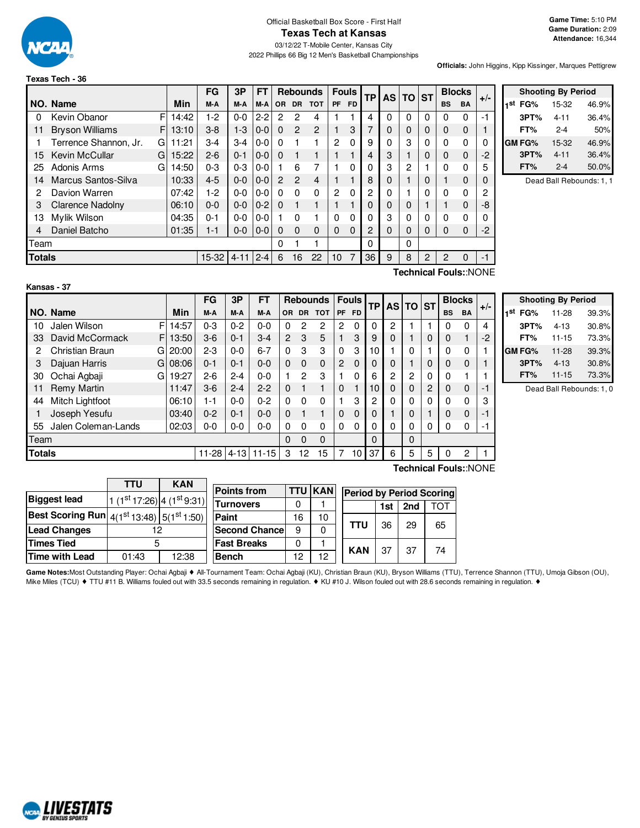

**Texas Tech - 36**

2022 Phillips 66 Big 12 Men's Basketball Championships

**Officials:** John Higgins, Kipp Kissinger, Marques Pettigrew

#### F 14:42  $F13:10$ G 11:21  $G$  15:22  $G$  14:50 **NO.** Name Min **FG 3P FT Rebounds Fouls TP AS TO ST**  $\begin{bmatrix} \mathsf{B} \mathsf{B} \end{bmatrix}$  **Blocks**  $\begin{bmatrix} \mathsf{B} \mathsf{B} \end{bmatrix}$  **ADDELA**  $\begin{bmatrix} \mathsf{B} \mathsf{B} \end{bmatrix}$  **PR**  $\begin{bmatrix} \mathsf{B} \mathsf{B} \end{bmatrix}$  **BLOCKS**  $\begin{bmatrix} \mathsf{B} \mathsf{B} \end{bmatrix}$   $\begin{bmatrix} \mathsf{B} \mathsf{B} \end{bmatrix}$   $\begin{bmatrix} \mathsf{B} \mathsf{B} \end{bmatrix}$  0 Kevin Obanor F | 14:42 | 1-2 | 0-0 | 2-2 | 2 2 4 | 1 1 | 4 | 0 | 0 | 0 | 0 | 0 | -1 11 Bryson Williams F | 13:10 | 3-8 | 1-3 | 0-0 | 0 2 | 2 | 1 | 3 | 7 | 0 | 0 | 0 | 0 | 0 | 1 1 Terrence Shannon, Jr. G 11:21 3-4 3-4 0-0 0 1 1 2 0 9 0 3 0 0 0 0 0 15 Kevin McCullar G | 15:22 | 2-6 | 0-1 | 0-0 | 0 | 1 | 1 | 1 | 1 | 4 | 3 | 1 | 0 | 0 | 0 | -2 25 Adonis Arms 14:50 0-3 0-3 0-0 1 6 7 1 0 0 3 2 1 0 0 5 14 Marcus Santos-Silva | 10:33 | 4-5 | 0-0 | 0-0 | 2 2 4 | 1 1 | 8 | 0 | 1 | 0 | 1 0 | 0 2 Davion Warren | 07:42 | 1-2 | 0-0 | 0-0 | 0 0 0 | 2 0 | 2 | 0 | 1 | 0 | 0 0 | 2 3 Clarence Nadolny 06:10 0-0 0-0 0-2 0 1 1 1 1 0 0 0 1 1 0 -8 13 Mylik Wilson 04:35 0-1 0-0 0-0 1 0 1 0 0 0 3 0 0 0 0 0 4 Daniel Batcho 01:35 1-1 0-0 0-0 0 0 0 0 0 2 0 0 0 0 0 -2 Team 0 1 1 0 0 **Totals** 15-32 4-11 2-4 6 16 22 10 7 36 9 8 2 2 2 0 -1

|     | <b>Shooting By Period</b> |          |       |  |  |  |  |  |  |  |  |
|-----|---------------------------|----------|-------|--|--|--|--|--|--|--|--|
| 1st | FG%                       | 15-32    | 46.9% |  |  |  |  |  |  |  |  |
|     | 3PT%                      | 4-11     | 36.4% |  |  |  |  |  |  |  |  |
|     | FT%                       | $2 - 4$  | 50%   |  |  |  |  |  |  |  |  |
|     | GM FG%                    | 15-32    | 46.9% |  |  |  |  |  |  |  |  |
|     | 3PT%                      | $4 - 11$ | 36.4% |  |  |  |  |  |  |  |  |
|     | FT%                       | $2 - 4$  | 50.0% |  |  |  |  |  |  |  |  |

Dead Ball Rebounds: 1, 1

| Kans |
|------|
|------|

**Technical Fouls:**:NONE

|               |                     |    |       | FG      | 3P       | FT        |                |           | <b>Rebounds</b> |                | <b>Fouls</b> | <b>TP</b> | <b>AS</b> | <b>TO ST</b> |              | <b>Blocks</b> |                       | $+/-$ |
|---------------|---------------------|----|-------|---------|----------|-----------|----------------|-----------|-----------------|----------------|--------------|-----------|-----------|--------------|--------------|---------------|-----------------------|-------|
|               | NO. Name            |    | Min   | M-A     | M-A      | M-A       | OR.            | <b>DR</b> | <b>TOT</b>      | <b>PF</b>      | <b>FD</b>    |           |           |              |              | <b>BS</b>     | <b>BA</b>             |       |
| 10            | Jalen Wilson        | F  | 14:57 | $0 - 3$ | $0 - 2$  | $0 - 0$   | 0              | 2         | 2               | 2              | $\Omega$     | 0         | 2         |              |              | 0             | $\Omega$              | 4     |
| 33            | David McCormack     | F  | 13:50 | $3-6$   | $0 - 1$  | $3-4$     | $\overline{2}$ | 3         | 5               |                | 3            | 9         | 0         |              | 0            | 0             |                       | $-2$  |
| 2             | Christian Braun     | GI | 20:00 | $2 - 3$ | $0 - 0$  | $6 - 7$   | 0              | 3         | 3               | 0              | 3            | 10        |           | 0            |              | 0             | 0                     |       |
| З             | Dajuan Harris       | Gl | 08:06 | $0 - 1$ | $0 - 1$  | $0 - 0$   | $\Omega$       | 0         | $\mathbf 0$     | $\overline{2}$ | $\Omega$     | $\Omega$  | 0         |              | 0            | $\mathbf 0$   | $\mathbf 0$           |       |
| 30            | Ochai Agbaji        | G  | 19:27 | $2 - 6$ | $2 - 4$  | $0 - 0$   |                | 2         | 3               |                | 0            | 6         | 2         | 2            | $\mathbf{0}$ | $\Omega$      |                       |       |
| 11            | <b>Remy Martin</b>  |    | 11:47 | $3-6$   | $2 - 4$  | $2 - 2$   | $\Omega$       |           | 1               | $\Omega$       |              | 10        | 0         | 0            | 2            | $\Omega$      | $\Omega$              | $-1$  |
| 44            | Mitch Lightfoot     |    | 06:10 | 1-1     | $0 - 0$  | $0 - 2$   | 0              | 0         | 0               |                | 3            | 2         | 0         | $\Omega$     | 0            | $\Omega$      | $\Omega$              | 3     |
|               | Joseph Yesufu       |    | 03:40 | $0 - 2$ | $0 - 1$  | $0 - 0$   | 0              |           |                 | $\Omega$       | $\Omega$     | 0         |           | $\mathbf 0$  |              | 0             | $\Omega$              | -1    |
| 55            | Jalen Coleman-Lands |    | 02:03 | $0-0$   | $0-0$    | $0 - 0$   | 0              | 0         | 0               | 0              | $\Omega$     | 0         | 0         | 0            | 0            | $\Omega$      | 0                     | -1    |
| Team          |                     |    |       |         |          |           | 0              | $\Omega$  | $\Omega$        |                |              | $\Omega$  |           | $\Omega$     |              |               |                       |       |
| <b>Totals</b> |                     |    |       | $11-28$ | $4 - 13$ | $11 - 15$ | 3              | 12        | 15              |                | 10           | 37        | 6         | 5            | 5            | 0             | 2                     |       |
|               |                     |    |       |         |          |           |                |           |                 |                |              |           |           |              |              |               | Technical Fouls::NONF |       |

| <b>Shooting By Period</b> |           |       |  |  |  |  |  |  |  |  |
|---------------------------|-----------|-------|--|--|--|--|--|--|--|--|
| 1st<br>FG%                | 11-28     | 39.3% |  |  |  |  |  |  |  |  |
| 3PT%                      | $4 - 13$  | 30.8% |  |  |  |  |  |  |  |  |
| FT%                       | $11 - 15$ | 73.3% |  |  |  |  |  |  |  |  |
| <b>GM FG%</b>             | $11 - 28$ | 39.3% |  |  |  |  |  |  |  |  |
| 3PT%                      | $4 - 13$  | 30.8% |  |  |  |  |  |  |  |  |
| FT%                       | $11 - 15$ | 73.3% |  |  |  |  |  |  |  |  |

Dead Ball Rebounds: 1, 0

|                                                          | TTU                                    | <b>KAN</b> |                      |    |                 |                                 |     |     |    |
|----------------------------------------------------------|----------------------------------------|------------|----------------------|----|-----------------|---------------------------------|-----|-----|----|
|                                                          |                                        |            | <b>Points from</b>   |    | <b>TTU KANI</b> | <b>Period by Period Scoring</b> |     |     |    |
| <b>Biggest lead</b>                                      | $1(1st17:26)$ 4 (1 <sup>st</sup> 9:31) |            | <b>Turnovers</b>     |    |                 |                                 | 1st | 2nd | O1 |
| <b>Best Scoring Run</b> $ 4(1^{st}13:48) 5(1^{st}1:50) $ |                                        |            | Paint                | 16 | 10              |                                 |     |     |    |
| <b>Lead Changes</b>                                      |                                        |            | <b>Second Chance</b> | 9  |                 | TTU                             | 36  | 29  | 65 |
| <b>Times Tied</b>                                        | G                                      |            | <b>Fast Breaks</b>   |    |                 | <b>KAN</b>                      |     | -37 | 74 |
| <b>Time with Lead</b>                                    | 01:43                                  | 12:38      | <b>Bench</b>         | 12 | 12              |                                 | -37 |     |    |

Game Notes:Most Outstanding Player: Ochai Agbaji ◆ All-Tournament Team: Ochai Agbaji (KU), Christian Braun (KU), Bryson Williams (TTU), Terrence Shannon (TTU), Umoja Gibson (OU), Mike Miles (TCU) ♦ TTU #11 B. Williams fouled out with 33.5 seconds remaining in regulation. ♦ KU #10 J. Wilson fouled out with 28.6 seconds remaining in regulation. ♦

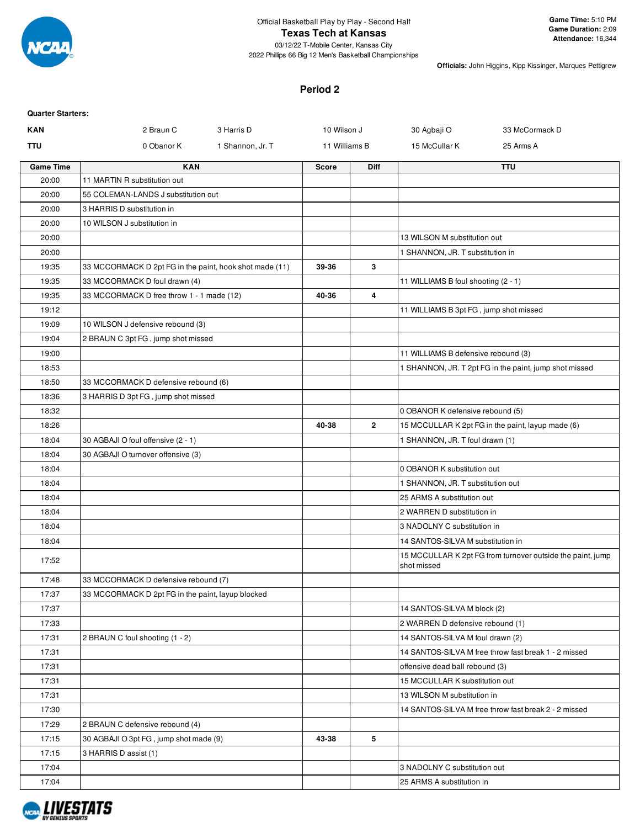

#### **Texas Tech at Kansas**

03/12/22 T-Mobile Center, Kansas City 2022 Phillips 66 Big 12 Men's Basketball Championships

**Officials:** John Higgins, Kipp Kissinger, Marques Pettigrew

#### **Period 2**

# **Quarter Starters: KAN** 2 Braun C 3 Harris D 310 Wilson J 30 Agbaji O 33 McCormack D **TTU** 15 Notal of Chanor K 15 Shannon, Jr. T 11 Milliams B 15 McCullar K 25 Arms A **Game Time KAN Score Diff TTU** 20:00 11 MARTIN R substitution out 20:00 55 COLEMAN-LANDS J substitution out 20:00 3 HARRIS D substitution in 20:00 | 10 WILSON J substitution in 20:00 **13 WILSON M substitution out** 13 WILSON M substitution out 20:00 1 SHANNON, JR. T substitution in 19:35 33 MCCORMACK D 2pt FG in the paint, hook shot made (11) **39-36 3** 19:35 33 MCCORMACK D foul drawn (4) 19:35 33 MCCORMACK D foul drawn (4) 19:35 33 MCCORMACK D free throw 1 - 1 made (12) **40-36 4** 19:12 **19:12** 19:12 **19:12** 19:12 **11 WILLIAMS B 3pt FG** , jump shot missed 19:09 10 WILSON J defensive rebound (3) 19:04 2 BRAUN C 3pt FG , jump shot missed 19:00 11 WILLIAMS B defensive rebound (3) 18:53 | Constant of the paint, in the paint, in the paint, in the paint, jump shot missed 18:50 33 MCCORMACK D defensive rebound (6) 18:36 3 HARRIS D 3pt FG, jump shot missed 18:32 **0 OBANOR K defensive rebound (5)** 18:26 **18:26 18:26 19:26 19:26 15 MCCULLAR K 2pt FG** in the paint, layup made (6) 18:04 30 AGBAJI O foul offensive (2 - 1) 18HANNON, JR. T foul drawn (1) 18:04 30 AGBAJI O turnover offensive (3) 18:04 | **Detail of the Contract of Contract Contract of the Contract Operation of the Contract Operation of the Contract Operation of the Contract Operation of the Contract Operation of the Contract Operation of the Contra** 18:04 | Constitution out | Constitution out | Constitution out | Constitution out | Constitution out | Constitution out | Constitution out | Constitution out | Constitution out | Constitution out | Constitution out | Const 18:04 25 ARMS A substitution out 18:04 2 WARREN D substitution in 18:04 | 3 NADOLNY C substitution in 18:04 14 SANTOS-SILVA M substitution in 17:52 15 MCCULLAR K 2pt FG from turnover outside the paint, jump shot missed 17:48 33 MCCORMACK D defensive rebound (7) 17:37 33 MCCORMACK D 2pt FG in the paint, layup blocked 17:37 17:37 **17:37** 19:00 12:00 12:00 12:00 12:00 12:00 12:00 12:00 12:00 12:00 12:00 12:00 12:00 12:00 12:00 12:00 12:00 12:00 12:00 12:00 12:00 12:00 12:00 12:00 12:00 12:00 12:00 12:00 12:00 12:00 12:00 12:00 12:00 12:0 17:33 2 WARREN D defensive rebound (1) 17:31 2 BRAUN C foul shooting (1 - 2) 17:31 2 BRAUN C foul shooting (1 - 2) 17:31 | CHE SANTOS-SILVA M free throw fast break 1 - 2 missed 17:31 **offensive dead ball rebound (3)** offensive dead ball rebound (3) 17:31 15 MCCULLAR K substitution out 17:31 13 WILSON M substitution in 17:30 17:30 17:30 15:30 14 SANTOS-SILVA M free throw fast break 2 - 2 missed 17:29 2 BRAUN C defensive rebound (4) 17:15 30 AGBAJI O 3pt FG , jump shot made (9) **43-38 5** 17:15 3 HARRIS D assist (1) 17:04 3 NADOLNY C substitution out 17:04 25 ARMS A substitution in

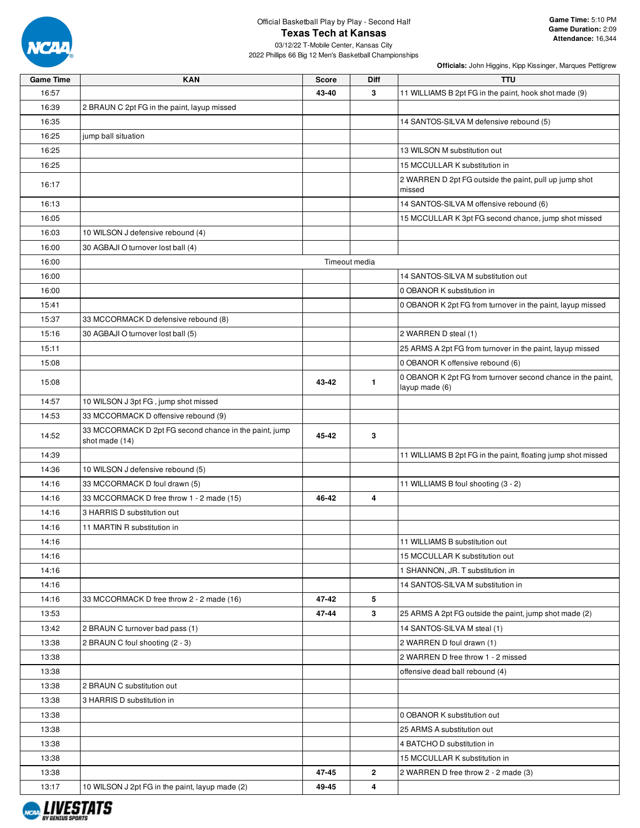

03/12/22 T-Mobile Center, Kansas City 2022 Phillips 66 Big 12 Men's Basketball Championships

| Game Time | <b>KAN</b>                                                               | <b>Score</b> | <b>Diff</b>   | <b>TTU</b>                                                                    |  |  |
|-----------|--------------------------------------------------------------------------|--------------|---------------|-------------------------------------------------------------------------------|--|--|
| 16:57     |                                                                          | 43-40        | 3             | 11 WILLIAMS B 2pt FG in the paint, hook shot made (9)                         |  |  |
| 16:39     | 2 BRAUN C 2pt FG in the paint, layup missed                              |              |               |                                                                               |  |  |
| 16:35     |                                                                          |              |               | 14 SANTOS-SILVA M defensive rebound (5)                                       |  |  |
| 16:25     | jump ball situation                                                      |              |               |                                                                               |  |  |
| 16:25     |                                                                          |              |               | 13 WILSON M substitution out                                                  |  |  |
| 16:25     |                                                                          |              |               | 15 MCCULLAR K substitution in                                                 |  |  |
| 16:17     |                                                                          |              |               | 2 WARREN D 2pt FG outside the paint, pull up jump shot<br>missed              |  |  |
| 16:13     |                                                                          |              |               | 14 SANTOS-SILVA M offensive rebound (6)                                       |  |  |
| 16:05     |                                                                          |              |               | 15 MCCULLAR K 3pt FG second chance, jump shot missed                          |  |  |
| 16:03     | 10 WILSON J defensive rebound (4)                                        |              |               |                                                                               |  |  |
| 16:00     | 30 AGBAJI O turnover lost ball (4)                                       |              |               |                                                                               |  |  |
| 16:00     |                                                                          |              | Timeout media |                                                                               |  |  |
| 16:00     |                                                                          |              |               | 14 SANTOS-SILVA M substitution out                                            |  |  |
| 16:00     |                                                                          |              |               | 0 OBANOR K substitution in                                                    |  |  |
| 15:41     |                                                                          |              |               | 0 OBANOR K 2pt FG from turnover in the paint, layup missed                    |  |  |
| 15:37     | 33 MCCORMACK D defensive rebound (8)                                     |              |               |                                                                               |  |  |
| 15:16     | 30 AGBAJI O turnover lost ball (5)                                       |              |               | 2 WARREN D steal (1)                                                          |  |  |
| 15:11     |                                                                          |              |               | 25 ARMS A 2pt FG from turnover in the paint, layup missed                     |  |  |
| 15:08     |                                                                          |              |               | 0 OBANOR K offensive rebound (6)                                              |  |  |
| 15:08     |                                                                          | 43-42        | $\mathbf{1}$  | 0 OBANOR K 2pt FG from turnover second chance in the paint,<br>layup made (6) |  |  |
| 14:57     | 10 WILSON J 3pt FG, jump shot missed                                     |              |               |                                                                               |  |  |
| 14:53     | 33 MCCORMACK D offensive rebound (9)                                     |              |               |                                                                               |  |  |
| 14:52     | 33 MCCORMACK D 2pt FG second chance in the paint, jump<br>shot made (14) | 45-42        | 3             |                                                                               |  |  |
| 14:39     |                                                                          |              |               | 11 WILLIAMS B 2pt FG in the paint, floating jump shot missed                  |  |  |
| 14:36     | 10 WILSON J defensive rebound (5)                                        |              |               |                                                                               |  |  |
| 14:16     | 33 MCCORMACK D foul drawn (5)                                            |              |               | 11 WILLIAMS B foul shooting (3 - 2)                                           |  |  |
| 14:16     | 33 MCCORMACK D free throw 1 - 2 made (15)                                | 46-42        | 4             |                                                                               |  |  |
| 14:16     | 3 HARRIS D substitution out                                              |              |               |                                                                               |  |  |
| 14:16     | 11 MARTIN R substitution in                                              |              |               |                                                                               |  |  |
| 14:16     |                                                                          |              |               | 11 WILLIAMS B substitution out                                                |  |  |
| 14:16     |                                                                          |              |               | 15 MCCULLAR K substitution out                                                |  |  |
| 14:16     |                                                                          |              |               | 1 SHANNON, JR. T substitution in                                              |  |  |
| 14:16     |                                                                          |              |               | 14 SANTOS-SILVA M substitution in                                             |  |  |
| 14:16     | 33 MCCORMACK D free throw 2 - 2 made (16)                                | 47-42        | 5             |                                                                               |  |  |
| 13:53     |                                                                          | 47-44        | 3             | 25 ARMS A 2pt FG outside the paint, jump shot made (2)                        |  |  |
| 13:42     | 2 BRAUN C turnover bad pass (1)                                          |              |               | 14 SANTOS-SILVA M steal (1)                                                   |  |  |
| 13:38     | 2 BRAUN C foul shooting (2 - 3)                                          |              |               | 2 WARREN D foul drawn (1)                                                     |  |  |
| 13:38     |                                                                          |              |               | 2 WARREN D free throw 1 - 2 missed                                            |  |  |
| 13:38     |                                                                          |              |               | offensive dead ball rebound (4)                                               |  |  |
| 13:38     | 2 BRAUN C substitution out                                               |              |               |                                                                               |  |  |
| 13:38     | 3 HARRIS D substitution in                                               |              |               |                                                                               |  |  |
| 13:38     |                                                                          |              |               | 0 OBANOR K substitution out                                                   |  |  |
| 13:38     |                                                                          |              |               | 25 ARMS A substitution out                                                    |  |  |
| 13:38     |                                                                          |              |               | 4 BATCHO D substitution in                                                    |  |  |
| 13:38     |                                                                          |              |               | 15 MCCULLAR K substitution in                                                 |  |  |
| 13:38     |                                                                          | 47-45        | $\mathbf{2}$  | 2 WARREN D free throw 2 - 2 made (3)                                          |  |  |
| 13:17     | 10 WILSON J 2pt FG in the paint, layup made (2)                          | 49-45        | 4             |                                                                               |  |  |

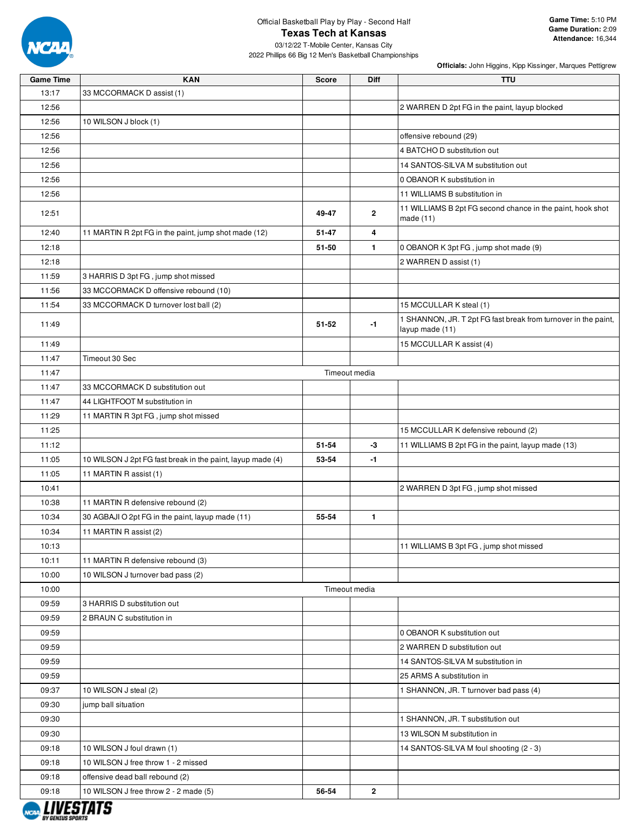

03/12/22 T-Mobile Center, Kansas City 2022 Phillips 66 Big 12 Men's Basketball Championships

| <b>Game Time</b> | <b>KAN</b>                                                 | <b>Score</b> | <b>Diff</b>   | <b>TTU</b>                                                              |
|------------------|------------------------------------------------------------|--------------|---------------|-------------------------------------------------------------------------|
| 13:17            | 33 MCCORMACK D assist (1)                                  |              |               |                                                                         |
| 12:56            |                                                            |              |               | 2 WARREN D 2pt FG in the paint, layup blocked                           |
| 12:56            | 10 WILSON J block (1)                                      |              |               |                                                                         |
| 12:56            |                                                            |              |               | offensive rebound (29)                                                  |
| 12:56            |                                                            |              |               | 4 BATCHO D substitution out                                             |
| 12:56            |                                                            |              |               | 14 SANTOS-SILVA M substitution out                                      |
| 12:56            |                                                            |              |               | 0 OBANOR K substitution in                                              |
| 12:56            |                                                            |              |               | 11 WILLIAMS B substitution in                                           |
| 12:51            |                                                            | 49-47        | $\mathbf{2}$  | 11 WILLIAMS B 2pt FG second chance in the paint, hook shot<br>made (11) |
| 12:40            | 11 MARTIN R 2pt FG in the paint, jump shot made (12)       | 51-47        | 4             |                                                                         |
| 12:18            |                                                            | 51-50        | $\mathbf{1}$  | 0 OBANOR K 3pt FG, jump shot made (9)                                   |
| 12:18            |                                                            |              |               | 2 WARREN D assist (1)                                                   |
| 11:59            | 3 HARRIS D 3pt FG, jump shot missed                        |              |               |                                                                         |
| 11:56            | 33 MCCORMACK D offensive rebound (10)                      |              |               |                                                                         |
| 11:54            | 33 MCCORMACK D turnover lost ball (2)                      |              |               | 15 MCCULLAR K steal (1)                                                 |
|                  |                                                            |              |               | 1 SHANNON, JR. T 2pt FG fast break from turnover in the paint,          |
| 11:49            |                                                            | 51-52        | $-1$          | layup made (11)                                                         |
| 11:49            |                                                            |              |               | 15 MCCULLAR K assist (4)                                                |
| 11:47            | Timeout 30 Sec                                             |              |               |                                                                         |
| 11:47            |                                                            |              | Timeout media |                                                                         |
| 11:47            | 33 MCCORMACK D substitution out                            |              |               |                                                                         |
| 11:47            | 44 LIGHTFOOT M substitution in                             |              |               |                                                                         |
| 11:29            | 11 MARTIN R 3pt FG, jump shot missed                       |              |               |                                                                         |
| 11:25            |                                                            |              |               | 15 MCCULLAR K defensive rebound (2)                                     |
| 11:12            |                                                            | 51-54        | -3            | 11 WILLIAMS B 2pt FG in the paint, layup made (13)                      |
| 11:05            | 10 WILSON J 2pt FG fast break in the paint, layup made (4) | 53-54        | -1            |                                                                         |
| 11:05            | 11 MARTIN R assist (1)                                     |              |               |                                                                         |
| 10:41            |                                                            |              |               | 2 WARREN D 3pt FG, jump shot missed                                     |
| 10:38            | 11 MARTIN R defensive rebound (2)                          |              |               |                                                                         |
| 10:34            | 30 AGBAJI O 2pt FG in the paint, layup made (11)           | 55-54        | $\mathbf{1}$  |                                                                         |
| 10:34            | 11 MARTIN R assist (2)                                     |              |               |                                                                         |
| 10:13            |                                                            |              |               | 11 WILLIAMS B 3pt FG, jump shot missed                                  |
|                  |                                                            |              |               |                                                                         |
| 10:11            | 11 MARTIN R defensive rebound (3)                          |              |               |                                                                         |
| 10:00            | 10 WILSON J turnover bad pass (2)                          |              |               |                                                                         |
| 10:00            |                                                            |              | Timeout media |                                                                         |
| 09:59            | 3 HARRIS D substitution out                                |              |               |                                                                         |
| 09:59            | 2 BRAUN C substitution in                                  |              |               |                                                                         |
| 09:59            |                                                            |              |               | 0 OBANOR K substitution out                                             |
| 09:59            |                                                            |              |               | 2 WARREN D substitution out                                             |
| 09:59            |                                                            |              |               | 14 SANTOS-SILVA M substitution in                                       |
| 09:59            |                                                            |              |               | 25 ARMS A substitution in                                               |
| 09:37            | 10 WILSON J steal (2)                                      |              |               | 1 SHANNON, JR. T turnover bad pass (4)                                  |
| 09:30            | jump ball situation                                        |              |               |                                                                         |
| 09:30            |                                                            |              |               | 1 SHANNON, JR. T substitution out                                       |
| 09:30            |                                                            |              |               | 13 WILSON M substitution in                                             |
| 09:18            | 10 WILSON J foul drawn (1)                                 |              |               | 14 SANTOS-SILVA M foul shooting (2 - 3)                                 |
| 09:18            | 10 WILSON J free throw 1 - 2 missed                        |              |               |                                                                         |
| 09:18            | offensive dead ball rebound (2)                            |              |               |                                                                         |
| 09:18            | 10 WILSON J free throw 2 - 2 made (5)                      | 56-54        | $\mathbf{2}$  |                                                                         |

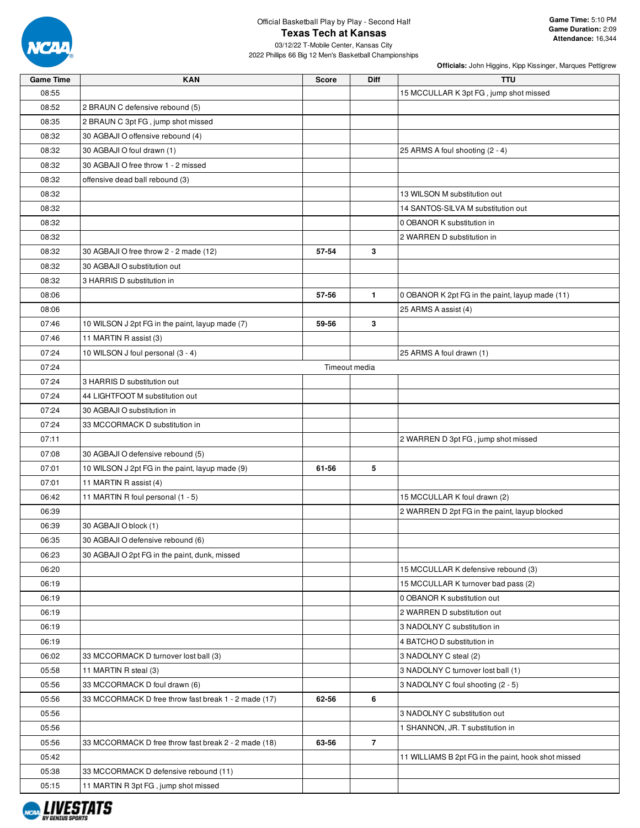

| <b>Game Time</b> | <b>KAN</b>                                                 | <b>Score</b> | Diff           | <b>TTU</b>                                          |
|------------------|------------------------------------------------------------|--------------|----------------|-----------------------------------------------------|
| 08:55            |                                                            |              |                | 15 MCCULLAR K 3pt FG, jump shot missed              |
| 08:52            | 2 BRAUN C defensive rebound (5)                            |              |                |                                                     |
| 08:35            | 2 BRAUN C 3pt FG, jump shot missed                         |              |                |                                                     |
| 08:32            | 30 AGBAJI O offensive rebound (4)                          |              |                |                                                     |
| 08:32            | 30 AGBAJI O foul drawn (1)                                 |              |                | 25 ARMS A foul shooting (2 - 4)                     |
| 08:32            | 30 AGBAJI O free throw 1 - 2 missed                        |              |                |                                                     |
| 08:32            | offensive dead ball rebound (3)                            |              |                |                                                     |
| 08:32            |                                                            |              |                | 13 WILSON M substitution out                        |
| 08:32            |                                                            |              |                | 14 SANTOS-SILVA M substitution out                  |
| 08:32            |                                                            |              |                | 0 OBANOR K substitution in                          |
| 08:32            |                                                            |              |                | 2 WARREN D substitution in                          |
| 08:32            | 30 AGBAJI O free throw 2 - 2 made (12)                     | 57-54        | 3              |                                                     |
| 08:32            | 30 AGBAJI O substitution out                               |              |                |                                                     |
| 08:32            | 3 HARRIS D substitution in                                 |              |                |                                                     |
| 08:06            |                                                            | 57-56        | $\mathbf{1}$   | 0 OBANOR K 2pt FG in the paint, layup made (11)     |
| 08:06            |                                                            |              |                | 25 ARMS A assist (4)                                |
| 07:46            | 10 WILSON J 2pt FG in the paint, layup made (7)            | 59-56        | 3              |                                                     |
| 07:46            | 11 MARTIN R assist (3)                                     |              |                |                                                     |
| 07:24            | 10 WILSON J foul personal (3 - 4)                          |              |                | 25 ARMS A foul drawn (1)                            |
| 07:24            |                                                            |              | Timeout media  |                                                     |
| 07:24            | 3 HARRIS D substitution out                                |              |                |                                                     |
| 07:24            | 44 LIGHTFOOT M substitution out                            |              |                |                                                     |
| 07:24            | 30 AGBAJI O substitution in                                |              |                |                                                     |
| 07:24            | 33 MCCORMACK D substitution in                             |              |                |                                                     |
| 07:11            |                                                            |              |                | 2 WARREN D 3pt FG, jump shot missed                 |
| 07:08            | 30 AGBAJI O defensive rebound (5)                          |              |                |                                                     |
| 07:01            | 10 WILSON J 2pt FG in the paint, layup made (9)            | 61-56        | 5              |                                                     |
| 07:01            | 11 MARTIN R assist (4)                                     |              |                |                                                     |
| 06:42            | 11 MARTIN R foul personal (1 - 5)                          |              |                | 15 MCCULLAR K foul drawn (2)                        |
| 06:39            |                                                            |              |                | 2 WARREN D 2pt FG in the paint, layup blocked       |
|                  |                                                            |              |                |                                                     |
| 06:39<br>06:35   | 30 AGBAJI O block (1)<br>30 AGBAJI O defensive rebound (6) |              |                |                                                     |
|                  |                                                            |              |                |                                                     |
| 06:23            | 30 AGBAJI O 2pt FG in the paint, dunk, missed              |              |                |                                                     |
| 06:20            |                                                            |              |                | 15 MCCULLAR K defensive rebound (3)                 |
| 06:19            |                                                            |              |                | 15 MCCULLAR K turnover bad pass (2)                 |
| 06:19            |                                                            |              |                | 0 OBANOR K substitution out                         |
| 06:19            |                                                            |              |                | 2 WARREN D substitution out                         |
| 06:19            |                                                            |              |                | 3 NADOLNY C substitution in                         |
| 06:19            |                                                            |              |                | 4 BATCHO D substitution in                          |
| 06:02            | 33 MCCORMACK D turnover lost ball (3)                      |              |                | 3 NADOLNY C steal (2)                               |
| 05:58            | 11 MARTIN R steal (3)                                      |              |                | 3 NADOLNY C turnover lost ball (1)                  |
| 05:56            | 33 MCCORMACK D foul drawn (6)                              |              |                | 3 NADOLNY C foul shooting (2 - 5)                   |
| 05:56            | 33 MCCORMACK D free throw fast break 1 - 2 made (17)       | 62-56        | 6              |                                                     |
| 05:56            |                                                            |              |                | 3 NADOLNY C substitution out                        |
| 05:56            |                                                            |              |                | 1 SHANNON, JR. T substitution in                    |
| 05:56            | 33 MCCORMACK D free throw fast break 2 - 2 made (18)       | 63-56        | $\overline{7}$ |                                                     |
| 05:42            |                                                            |              |                | 11 WILLIAMS B 2pt FG in the paint, hook shot missed |
| 05:38            | 33 MCCORMACK D defensive rebound (11)                      |              |                |                                                     |
| 05:15            | 11 MARTIN R 3pt FG, jump shot missed                       |              |                |                                                     |

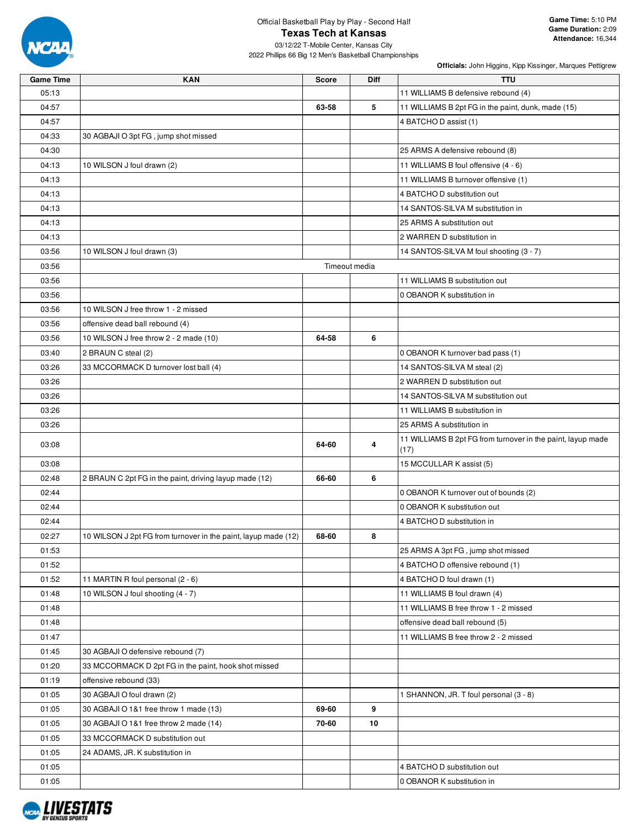

03/12/22 T-Mobile Center, Kansas City 2022 Phillips 66 Big 12 Men's Basketball Championships

| <b>Game Time</b> | <b>KAN</b>                                                     | <b>Score</b> | <b>Diff</b>   | <b>TTU</b>                                                  |
|------------------|----------------------------------------------------------------|--------------|---------------|-------------------------------------------------------------|
| 05:13            |                                                                |              |               | 11 WILLIAMS B defensive rebound (4)                         |
| 04:57            |                                                                | 63-58        | 5             | 11 WILLIAMS B 2pt FG in the paint, dunk, made (15)          |
| 04:57            |                                                                |              |               | 4 BATCHO D assist (1)                                       |
| 04:33            | 30 AGBAJI O 3pt FG, jump shot missed                           |              |               |                                                             |
| 04:30            |                                                                |              |               | 25 ARMS A defensive rebound (8)                             |
| 04:13            | 10 WILSON J foul drawn (2)                                     |              |               | 11 WILLIAMS B foul offensive (4 - 6)                        |
| 04:13            |                                                                |              |               | 11 WILLIAMS B turnover offensive (1)                        |
| 04:13            |                                                                |              |               | 4 BATCHO D substitution out                                 |
| 04:13            |                                                                |              |               | 14 SANTOS-SILVA M substitution in                           |
| 04:13            |                                                                |              |               | 25 ARMS A substitution out                                  |
| 04:13            |                                                                |              |               | 2 WARREN D substitution in                                  |
| 03:56            | 10 WILSON J foul drawn (3)                                     |              |               | 14 SANTOS-SILVA M foul shooting (3 - 7)                     |
| 03:56            |                                                                |              | Timeout media |                                                             |
| 03:56            |                                                                |              |               | 11 WILLIAMS B substitution out                              |
| 03:56            |                                                                |              |               | 0 OBANOR K substitution in                                  |
| 03:56            | 10 WILSON J free throw 1 - 2 missed                            |              |               |                                                             |
| 03:56            | offensive dead ball rebound (4)                                |              |               |                                                             |
| 03:56            | 10 WILSON J free throw 2 - 2 made (10)                         | 64-58        | 6             |                                                             |
| 03:40            | 2 BRAUN C steal (2)                                            |              |               | 0 OBANOR K turnover bad pass (1)                            |
| 03:26            | 33 MCCORMACK D turnover lost ball (4)                          |              |               | 14 SANTOS-SILVA M steal (2)                                 |
| 03:26            |                                                                |              |               | 2 WARREN D substitution out                                 |
| 03:26            |                                                                |              |               | 14 SANTOS-SILVA M substitution out                          |
| 03:26            |                                                                |              |               | 11 WILLIAMS B substitution in                               |
| 03:26            |                                                                |              |               | 25 ARMS A substitution in                                   |
|                  |                                                                |              |               | 11 WILLIAMS B 2pt FG from turnover in the paint, layup made |
| 03:08            |                                                                | 64-60        | 4             | (17)                                                        |
| 03:08            |                                                                |              |               | 15 MCCULLAR K assist (5)                                    |
| 02:48            | 2 BRAUN C 2pt FG in the paint, driving layup made (12)         | 66-60        | 6             |                                                             |
| 02:44            |                                                                |              |               | 0 OBANOR K turnover out of bounds (2)                       |
| 02:44            |                                                                |              |               | 0 OBANOR K substitution out                                 |
| 02:44            |                                                                |              |               | 4 BATCHO D substitution in                                  |
| 02:27            | 10 WILSON J 2pt FG from turnover in the paint, layup made (12) | 68-60        | 8             |                                                             |
| 01:53            |                                                                |              |               | 25 ARMS A 3pt FG, jump shot missed                          |
| 01:52            |                                                                |              |               | 4 BATCHO D offensive rebound (1)                            |
| 01:52            | 11 MARTIN R foul personal (2 - 6)                              |              |               | 4 BATCHO D foul drawn (1)                                   |
| 01:48            | 10 WILSON J foul shooting (4 - 7)                              |              |               | 11 WILLIAMS B foul drawn (4)                                |
| 01:48            |                                                                |              |               | 11 WILLIAMS B free throw 1 - 2 missed                       |
| 01:48            |                                                                |              |               | offensive dead ball rebound (5)                             |
| 01:47            |                                                                |              |               | 11 WILLIAMS B free throw 2 - 2 missed                       |
| 01:45            | 30 AGBAJI O defensive rebound (7)                              |              |               |                                                             |
| 01:20            | 33 MCCORMACK D 2pt FG in the paint, hook shot missed           |              |               |                                                             |
| 01:19            | offensive rebound (33)                                         |              |               |                                                             |
| 01:05            | 30 AGBAJI O foul drawn (2)                                     |              |               | 1 SHANNON, JR. T foul personal (3 - 8)                      |
| 01:05            | 30 AGBAJI O 1&1 free throw 1 made (13)                         | 69-60        | 9             |                                                             |
| 01:05            | 30 AGBAJI O 1&1 free throw 2 made (14)                         | 70-60        | 10            |                                                             |
| 01:05            | 33 MCCORMACK D substitution out                                |              |               |                                                             |
| 01:05            | 24 ADAMS, JR. K substitution in                                |              |               |                                                             |
| 01:05            |                                                                |              |               | 4 BATCHO D substitution out                                 |
| 01:05            |                                                                |              |               | 0 OBANOR K substitution in                                  |

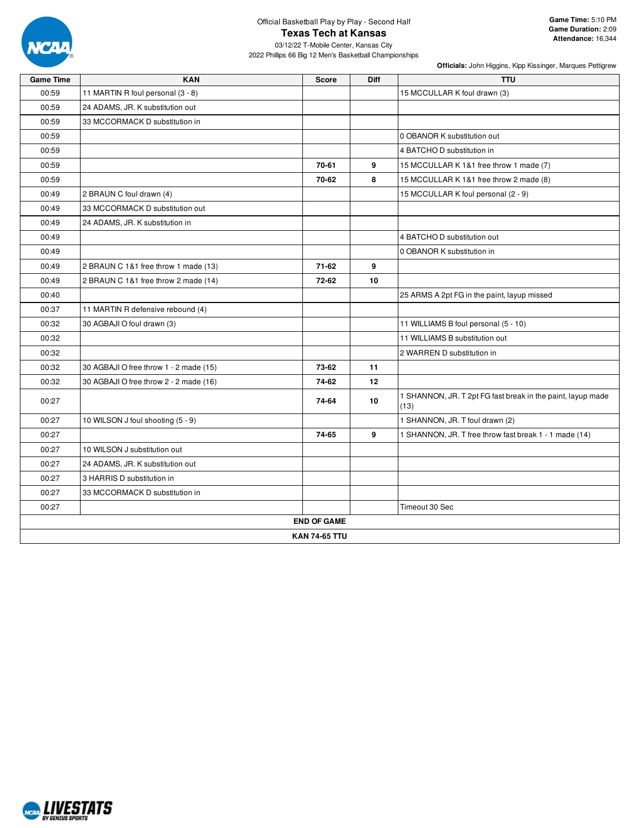

03/12/22 T-Mobile Center, Kansas City 2022 Phillips 66 Big 12 Men's Basketball Championships

| <b>Game Time</b> | <b>KAN</b>                             | <b>Score</b>         | Diff | <b>TTU</b>                                                          |  |
|------------------|----------------------------------------|----------------------|------|---------------------------------------------------------------------|--|
| 00:59            | 11 MARTIN R foul personal (3 - 8)      |                      |      | 15 MCCULLAR K foul drawn (3)                                        |  |
| 00:59            | 24 ADAMS, JR. K substitution out       |                      |      |                                                                     |  |
| 00:59            | 33 MCCORMACK D substitution in         |                      |      |                                                                     |  |
| 00:59            |                                        |                      |      | 0 OBANOR K substitution out                                         |  |
| 00:59            |                                        |                      |      | 4 BATCHO D substitution in                                          |  |
| 00:59            |                                        | 70-61                | 9    | 15 MCCULLAR K 1&1 free throw 1 made (7)                             |  |
| 00:59            |                                        | 70-62                | 8    | 15 MCCULLAR K 1&1 free throw 2 made (8)                             |  |
| 00:49            | 2 BRAUN C foul drawn (4)               |                      |      | 15 MCCULLAR K foul personal (2 - 9)                                 |  |
| 00:49            | 33 MCCORMACK D substitution out        |                      |      |                                                                     |  |
| 00:49            | 24 ADAMS, JR. K substitution in        |                      |      |                                                                     |  |
| 00:49            |                                        |                      |      | 4 BATCHO D substitution out                                         |  |
| 00:49            |                                        |                      |      | 0 OBANOR K substitution in                                          |  |
| 00:49            | 2 BRAUN C 1&1 free throw 1 made (13)   | $71-62$              | 9    |                                                                     |  |
| 00:49            | 2 BRAUN C 1&1 free throw 2 made (14)   | 72-62                | 10   |                                                                     |  |
| 00:40            |                                        |                      |      | 25 ARMS A 2pt FG in the paint, layup missed                         |  |
| 00:37            | 11 MARTIN R defensive rebound (4)      |                      |      |                                                                     |  |
| 00:32            | 30 AGBAJI O foul drawn (3)             |                      |      | 11 WILLIAMS B foul personal (5 - 10)                                |  |
| 00:32            |                                        |                      |      | 11 WILLIAMS B substitution out                                      |  |
| 00:32            |                                        |                      |      | 2 WARREN D substitution in                                          |  |
| 00:32            | 30 AGBAJI O free throw 1 - 2 made (15) | 73-62                | 11   |                                                                     |  |
| 00:32            | 30 AGBAJI O free throw 2 - 2 made (16) | 74-62                | 12   |                                                                     |  |
| 00:27            |                                        | 74-64                | 10   | 1 SHANNON, JR. T 2pt FG fast break in the paint, layup made<br>(13) |  |
| 00:27            | 10 WILSON J foul shooting (5 - 9)      |                      |      | 1 SHANNON, JR. T foul drawn (2)                                     |  |
| 00:27            |                                        | 74-65                | 9    | 1 SHANNON, JR. T free throw fast break 1 - 1 made (14)              |  |
| 00:27            | 10 WILSON J substitution out           |                      |      |                                                                     |  |
| 00:27            | 24 ADAMS, JR. K substitution out       |                      |      |                                                                     |  |
| 00:27            | 3 HARRIS D substitution in             |                      |      |                                                                     |  |
| 00:27            | 33 MCCORMACK D substitution in         |                      |      |                                                                     |  |
| 00:27            |                                        |                      |      | Timeout 30 Sec                                                      |  |
|                  |                                        | <b>END OF GAME</b>   |      |                                                                     |  |
|                  |                                        | <b>KAN 74-65 TTU</b> |      |                                                                     |  |

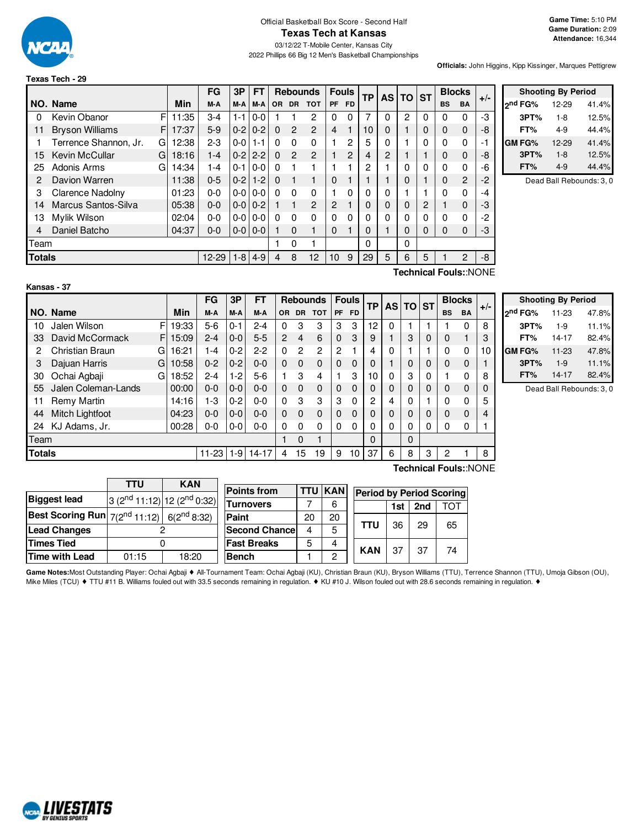

#### Official Basketball Box Score - Second Half **Texas Tech at Kansas**

03/12/22 T-Mobile Center, Kansas City 2022 Phillips 66 Big 12 Men's Basketball Championships

**Game Time:** 5:10 PM **Game Duration:** 2:09 **Attendance:** 16,344

**Officials:** John Higgins, Kipp Kissinger, Marques Pettigrew

|        |                         |    |       | FG      | 3P            | <b>FT</b>     |          | <b>Rebounds</b> |                | <b>Fouls</b>   |           |    |                | ТP | AS I | <b>TO ST</b> |                | <b>Blocks</b> |  | $+/-$ |
|--------|-------------------------|----|-------|---------|---------------|---------------|----------|-----------------|----------------|----------------|-----------|----|----------------|----|------|--------------|----------------|---------------|--|-------|
|        | NO. Name                |    | Min   | M-A     | M-A           | M-A           | OR.      | <b>DR</b>       | <b>TOT</b>     | <b>PF</b>      | <b>FD</b> |    |                |    |      | <b>BS</b>    | BA             |               |  |       |
| 0      | Kevin Obanor            | F  | 11:35 | $3-4$   | $1 - 1$       | $0 - 0$       |          |                 | 2              | 0              | 0         | 7  | $\Omega$       | 2  | 0    | 0            | 0              | -3            |  |       |
| 11     | <b>Bryson Williams</b>  | F. | 17:37 | $5-9$   | $0-2$         | $0 - 2$       | $\Omega$ | $\mathcal{P}$   | $\overline{2}$ | $\overline{4}$ |           | 10 | $\Omega$       |    | 0    | 0            | $\mathbf 0$    | -8            |  |       |
|        | Terrence Shannon, Jr.   | G  | 12:38 | $2-3$   | $0 - 0$       | $1 - 1$       | 0        | $\Omega$        | $\Omega$       |                | 2         | 5  | $\Omega$       |    | 0    | 0            | $\Omega$       | $-1$          |  |       |
| 15     | Kevin McCullar          | G  | 18:16 | $1 - 4$ | $0 - 212 - 2$ |               | $\Omega$ | $\overline{2}$  | $\overline{c}$ |                | 2         | 4  | $\overline{c}$ |    |      | 0            | $\mathbf 0$    | -8            |  |       |
| 25     | Adonis Arms             | G  | 14:34 | $1 - 4$ | $0 - 11$      | $0 - 0$       | 0        |                 |                |                |           | 2  |                | 0  | 0    | 0            | 0              | -6            |  |       |
| 2      | Davion Warren           |    | 11:38 | $0 - 5$ | $0 - 2$       | $1 - 2$       | $\Omega$ |                 |                | $\Omega$       |           |    |                | 0  |      | 0            | $\overline{2}$ | $-2$          |  |       |
| 3      | <b>Clarence Nadolny</b> |    | 01:23 | $0 - 0$ |               | $0 - 0 0 - 0$ | 0        | $\Omega$        | $\Omega$       |                | 0         | 0  | $\Omega$       |    |      | 0            | 0              | -4            |  |       |
| 14     | Marcus Santos-Silva     |    | 05:38 | $0 - 0$ | $0 - 0 0 - 2$ |               |          | $\mathbf{1}$    | 2              | $\mathcal{P}$  |           | 0  | $\Omega$       | 0  | 2    |              | $\Omega$       | -3            |  |       |
| 13     | Mylik Wilson            |    | 02:04 | $0 - 0$ | $0-0$         | $0-0$         | 0        | $\Omega$        | $\Omega$       | 0              | 0         | 0  | $\Omega$       | 0  | 0    | 0            | $\Omega$       | $-2$          |  |       |
| 4      | Daniel Batcho           |    | 04:37 | $0 - 0$ | $0 - 0 0 - 0$ |               |          | $\Omega$        |                | 0              |           | 0  |                | 0  | 0    | 0            | $\mathbf 0$    | -3            |  |       |
| Team   |                         |    |       |         |               |               |          | 0               |                |                |           | 0  |                | 0  |      |              |                |               |  |       |
| Totals |                         |    |       | 12-29   |               | $1 - 8$   4-9 | 4        | 8               | 12             | 10             | 9         | 29 | 5              | 6  | 5    |              | 2              | -8            |  |       |

|               | <b>Shooting By Period</b> |       |  |  |  |  |  |  |  |  |
|---------------|---------------------------|-------|--|--|--|--|--|--|--|--|
| ond FG%       | 12-29                     | 41.4% |  |  |  |  |  |  |  |  |
| 3PT%          | $1-8$                     | 12.5% |  |  |  |  |  |  |  |  |
| FT%           | 4-9                       | 44.4% |  |  |  |  |  |  |  |  |
| <b>GM FG%</b> | 12-29                     | 41.4% |  |  |  |  |  |  |  |  |
| 3PT%          | $1 - 8$                   | 12.5% |  |  |  |  |  |  |  |  |
| FT%           | 4-9                       | 44.4% |  |  |  |  |  |  |  |  |

Dead Ball Rebounds: 3, 0

| Kansas |  |  |
|--------|--|--|
|        |  |  |

**Technical Fouls:**:NONE

|               |                        |   |       | FG        | 3P      | FΤ        |          |           | <b>Rebounds</b> |              | <b>Fouls</b> | <b>TP</b> | <b>ASITO</b> |          | <b>ST</b> |           | <b>Blocks</b>         |       |
|---------------|------------------------|---|-------|-----------|---------|-----------|----------|-----------|-----------------|--------------|--------------|-----------|--------------|----------|-----------|-----------|-----------------------|-------|
|               | NO. Name               |   | Min   | M-A       | M-A     | M-A       | OR.      | <b>DR</b> | <b>TOT</b>      | <b>PF</b>    | <b>FD</b>    |           |              |          |           | <b>BS</b> | <b>BA</b>             | $+/-$ |
| 10            | Jalen Wilson           | F | 19:33 | $5-6$     | $0 - 1$ | $2 - 4$   |          | 3         | 3               | 3            | 3            | 12        | 0            |          |           |           | 0                     | 8     |
| 33            | David McCormack        | F | 15:09 | $2 - 4$   | $0 - 0$ | $5-5$     | 2        | 4         | 6               | $\mathbf{0}$ | 3            | 9         |              | 3        | 0         | 0         |                       | 3     |
| 2             | <b>Christian Braun</b> | G | 16:21 | $1 - 4$   | $0 - 2$ | $2-2$     | $\Omega$ | 2         | $\overline{c}$  | 2            |              | 4         | 0            |          |           | 0         | 0                     | 10    |
| 3             | Dajuan Harris          | G | 10:58 | $0 - 2$   | $0 - 2$ | $0 - 0$   | $\Omega$ | $\Omega$  | $\Omega$        | $\Omega$     | $\Omega$     |           |              | $\Omega$ | 0         | 0         | 0                     |       |
| 30            | Ochai Agbaji           | G | 18:52 | $2 - 4$   | $-2$    | 5-6       |          | 3         | 4               |              | 3            | 10        |              | 3        | 0         |           | 0                     | 8     |
| 55            | Jalen Coleman-Lands    |   | 00:00 | $0 - 0$   | $0 - 0$ | $0 - 0$   | $\Omega$ | $\Omega$  | $\mathbf 0$     | $\Omega$     | $\Omega$     |           | 0            | $\Omega$ | 0         | 0         | 0                     |       |
| 11            | Remy Martin            |   | 14:16 | 1-3       | $0 - 2$ | $0 - 0$   | $\Omega$ | 3         | 3               | 3            | $\Omega$     | 2         | 4            | 0        |           | 0         | 0                     | 5     |
| 44            | <b>Mitch Lightfoot</b> |   | 04:23 | $0 - 0$   | $0 - 0$ | $0 - 0$   | $\Omega$ | 0         | $\mathbf{0}$    | $\Omega$     | 0            |           | 0            | 0        | 0         | 0         | $\Omega$              | 4     |
| 24            | KJ Adams, Jr.          |   | 00:28 | $0-0$     | $0 - 0$ | $0-0$     | $\Omega$ | $\Omega$  | $\Omega$        | 0            | $\Omega$     |           | 0            | 0        | 0         | 0         | 0                     |       |
| Team          |                        |   |       |           |         |           |          | $\Omega$  |                 |              |              | $\Omega$  |              | 0        |           |           |                       |       |
| <b>Totals</b> |                        |   |       | $11 - 23$ | l 1-9   | $14 - 17$ | 4        | 15        | 19              | 9            | 10           | 37        | 6            | 8        | 3         | 2         |                       | 8     |
|               |                        |   |       |           |         |           |          |           |                 |              |              |           |              |          |           |           | Technical Fouls::NONE |       |

|                     | <b>Shooting By Period</b> |       |
|---------------------|---------------------------|-------|
| 2 <sup>nd</sup> FG% | 11-23                     | 47.8% |
| 3PT%                | $1-9$                     | 11.1% |
| FT%                 | 14-17                     | 82.4% |
| <b>GM FG%</b>       | $11 - 23$                 | 47.8% |
| 3PT%                | $1 - 9$                   | 11.1% |
| FT%                 | $14 - 17$                 | 82.4% |

Dead Ball Rebounds: 3, 0

|                                                                   | TTU   | <b>KAN</b>                         |                      |    |                |                                 |     |     |     |
|-------------------------------------------------------------------|-------|------------------------------------|----------------------|----|----------------|---------------------------------|-----|-----|-----|
| <b>Biggest lead</b>                                               |       |                                    | <b>Points from</b>   |    | <b>TTU KAN</b> | <b>Period by Period Scoring</b> |     |     |     |
|                                                                   |       | $3(2^{nd}11:12)$ 12 $(2^{nd}0:32)$ | <b>Turnovers</b>     |    | 6              |                                 | 1st | 2nd | тот |
| <b>Best Scoring Run</b> $7(2^{nd} 11:12)$ 6(2 <sup>nd</sup> 8:32) |       |                                    | Paint                | 20 | 20             |                                 |     |     |     |
| <b>Lead Changes</b>                                               |       |                                    | <b>Second Chance</b> | 4  | 5              | TTU                             | 36  | 29  | 65  |
| <b>Times Tied</b>                                                 |       |                                    | <b>Fast Breaks</b>   | 5  | 4              | <b>KAN</b>                      | 37  | 37  |     |
| Time with Lead                                                    | 01:15 | 18:20                              | <b>Bench</b>         |    | C              |                                 |     |     | 74  |

Game Notes:Most Outstanding Player: Ochai Agbaji ◆ All-Tournament Team: Ochai Agbaji (KU), Christian Braun (KU), Bryson Williams (TTU), Terrence Shannon (TTU), Umoja Gibson (OU), Mike Miles (TCU) ♦ TTU #11 B. Williams fouled out with 33.5 seconds remaining in regulation. ♦ KU #10 J. Wilson fouled out with 28.6 seconds remaining in regulation. ♦

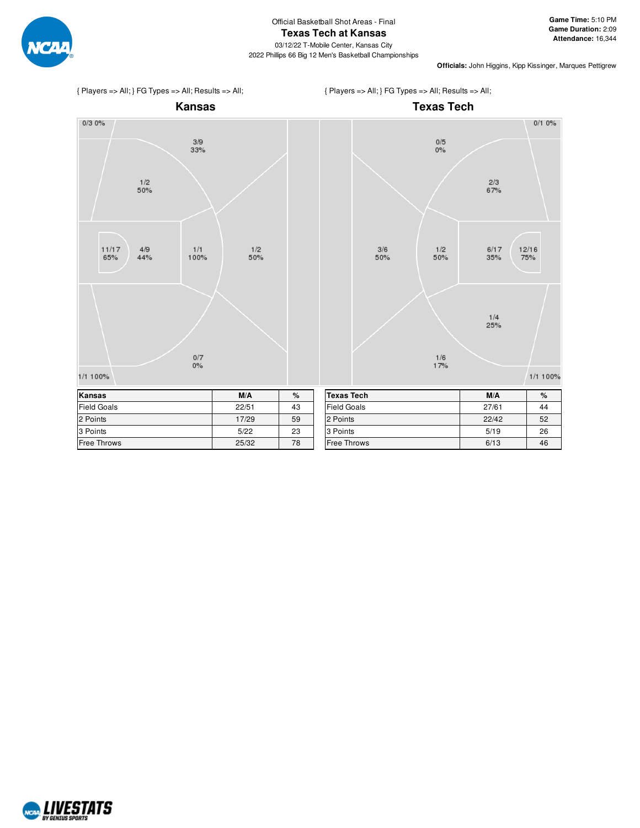





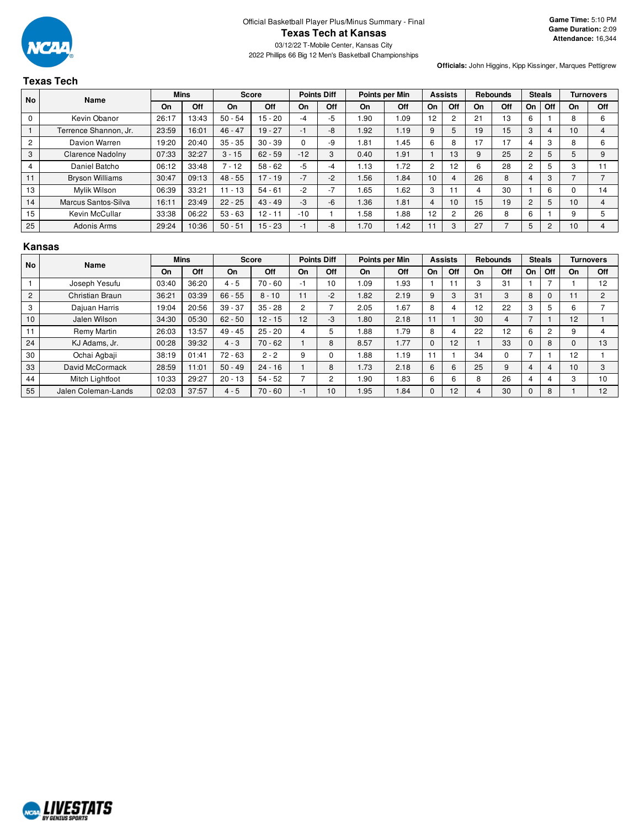

## **Texas Tech**

**Officials:** John Higgins, Kipp Kissinger, Marques Pettigrew

| <b>No</b>               | Name                   |       | <b>Mins</b> | <b>Score</b> |           |       | <b>Points Diff</b> |      | Points per Min |                | <b>Assists</b> |    | <b>Rebounds</b> |                | <b>Steals</b> |    | <b>Turnovers</b> |
|-------------------------|------------------------|-------|-------------|--------------|-----------|-------|--------------------|------|----------------|----------------|----------------|----|-----------------|----------------|---------------|----|------------------|
|                         |                        | On    | Off         | On           | Off       | On    | Off                | On   | <b>Off</b>     | On             | Off            | On | Off             | On             | Off           | On | <b>Off</b>       |
| 0                       | Kevin Obanor           | 26:17 | 13:43       | $50 - 54$    | $15 - 20$ | $-4$  | $-5$               | .90  | 1.09           | 12             | 2              | 21 | 13              | 6              |               | 8  | 6                |
|                         | Terrence Shannon, Jr.  | 23:59 | 16:01       | $46 - 47$    | $19 - 27$ | -1    | $-8$               | 1.92 | 1.19           | 9              | 5              | 19 | 15              | 3              | 4             | 10 | 4                |
| $\overline{c}$          | Davion Warren          | 19:20 | 20:40       | $35 - 35$    | $30 - 39$ | 0     | -9                 | i 81 | .45            | 6              | 8              | 17 | 17              |                | 3             | 8  | 6                |
| 3                       | Clarence Nadolny       | 07:33 | 32:27       | $3 - 15$     | $62 - 59$ | $-12$ | 3                  | 0.40 | 1.91           |                | 13             | 9  | 25              | $\overline{c}$ | 5             | 5  | 9                |
| $\overline{\mathbf{4}}$ | Daniel Batcho          | 06:12 | 33:48       | $7 - 12$     | $58 - 62$ | $-5$  | -4                 | 1.13 | 1.72           | $\overline{2}$ | 12             | 6  | 28              | 2              | 5             | c  |                  |
| 11                      | <b>Bryson Williams</b> | 30:47 | 09:13       | $48 - 55$    | $17 - 19$ | $-7$  | $-2$               | .56  | 1.84           | 10             | 4              | 26 | 8               |                | 3             |    |                  |
| 13                      | Mylik Wilson           | 06:39 | 33:21       | $11 - 13$    | $54 - 61$ | $-2$  | $-7$               | 1.65 | 1.62           | 3              |                | 4  | 30              |                | 6             |    | 14               |
| 14                      | Marcus Santos-Silva    | 16:11 | 23:49       | $22 - 25$    | $43 - 49$ | $-3$  | $-6$               | 1.36 | 1.81           | 4              | 10             | 15 | 19              | $\overline{c}$ | 5             | 10 | 4                |
| 15                      | Kevin McCullar         | 33:38 | 06:22       | $53 - 63$    | $12 - 11$ | $-10$ |                    | . 58 | 1.88           | 12             | 2              | 26 | 8               | 6              |               | 9  | 5                |
| 25                      | <b>Adonis Arms</b>     | 29:24 | 10:36       | $50 - 51$    | $15 - 23$ | -1    | $-8$               | 1.70 | 1.42           | 11             | 3              | 27 |                 | 5              | 2             | 10 | 4                |

#### **Kansas**

| No             | Name                |       | <b>Mins</b> |           | <b>Score</b> |    | <b>Points Diff</b> |      | Points per Min |          | <b>Assists</b> |    | Rebounds |          | <b>Steals</b>  |          | Turnovers      |
|----------------|---------------------|-------|-------------|-----------|--------------|----|--------------------|------|----------------|----------|----------------|----|----------|----------|----------------|----------|----------------|
|                |                     | On    | Off         | On        | Off          | On | <b>Off</b>         | On   | Off            | On       | Off            | On | Off      | On       | Off            | On       | Off            |
|                | Joseph Yesufu       | 03:40 | 36:20       | $4 - 5$   | $70 - 60$    | -1 | 10                 | 1.09 | 1.93           |          |                | 3  | 31       |          |                |          | 12             |
| $\overline{2}$ | Christian Braun     | 36:21 | 03:39       | $66 - 55$ | $8 - 10$     |    | $-2$               | 1.82 | 2.19           | 9        | 3              | 31 | 3        | 8        | $\mathbf{0}$   |          | $\overline{2}$ |
| 3              | Dajuan Harris       | 19:04 | 20:56       | $39 - 37$ | $35 - 28$    | 2  |                    | 2.05 | 1.67           | 8        |                | 12 | 22       | 3        | 5              | 6        |                |
| 10             | Jalen Wilson        | 34:30 | 05:30       | $62 - 50$ | $12 - 15$    | 12 | -3                 | 1.80 | 2.18           | 11       |                | 30 | 4        |          |                | 12       |                |
| 11             | Remy Martin         | 26:03 | 13:57       | $49 - 45$ | $25 - 20$    |    | 5                  | .88  | 1.79           | 8        |                | 22 | 12       | 6        | $\overline{2}$ | 9        |                |
| 24             | KJ Adams, Jr.       | 00:28 | 39:32       | $4 - 3$   | $70 - 62$    |    | 8                  | 8.57 | 1.77           | $\Omega$ | 12             |    | 33       | $\Omega$ | 8              | $\Omega$ | 13             |
| 30             | Ochai Agbaji        | 38:19 | 01:41       | $72 - 63$ | $2 - 2$      | 9  |                    | .88  | 1.19           |          |                | 34 | $\Omega$ |          |                | 12       |                |
| 33             | David McCormack     | 28:59 | 11:01       | $50 - 49$ | $24 - 16$    |    | 8                  | 1.73 | 2.18           | 6        | 6              | 25 | 9        | 4        | 4              | 10       | 3              |
| 44             | Mitch Lightfoot     | 10:33 | 29:27       | $20 - 13$ | $54 - 52$    |    | 2                  | .90  | 1.83           | 6        | 6              | 8  | 26       |          |                | 3        | 10             |
| 55             | Jalen Coleman-Lands | 02:03 | 37:57       | $4 - 5$   | $70 - 60$    |    | 10                 | 1.95 | 1.84           |          | 12             | 4  | 30       |          | 8              |          | 12             |

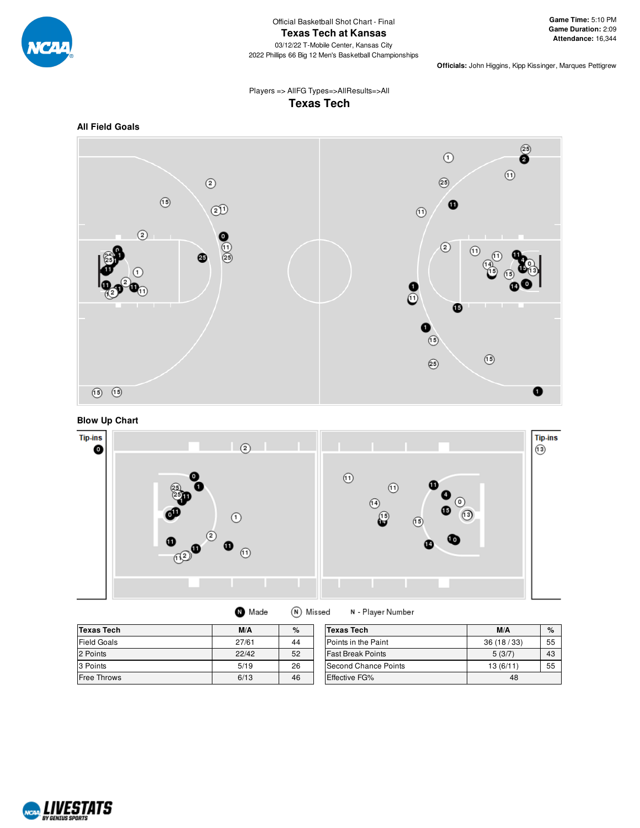

2022 Phillips 66 Big 12 Men's Basketball Championships

**Officials:** John Higgins, Kipp Kissinger, Marques Pettigrew

### Players => AllFG Types=>AllResults=>All **Texas Tech**



**Blow Up Chart**



(N) Missed

| <b>Texas Tech</b>  | M/A   | $\%$ | <b>Texas Tech</b>        |
|--------------------|-------|------|--------------------------|
| Field Goals        | 27/61 | 44   | Points in the Paint      |
| 2 Points           | 22/42 | 52   | <b>Fast Break Points</b> |
| 3 Points           | 5/19  | 26   | Second Chance Points     |
| <b>Free Throws</b> | 6/13  | 46   | <b>Effective FG%</b>     |

**O** Made



N - Player Number

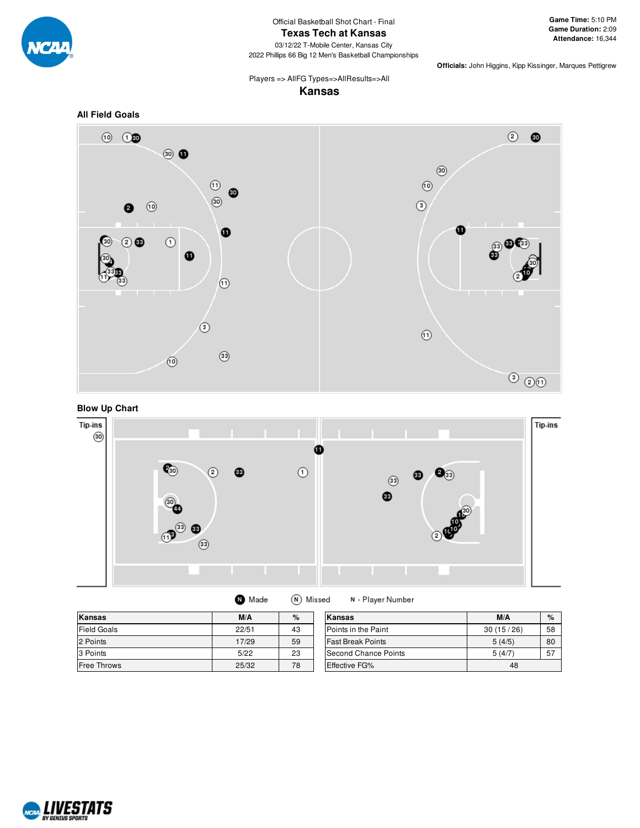

#### **Texas Tech at Kansas**

03/12/22 T-Mobile Center, Kansas City 2022 Phillips 66 Big 12 Men's Basketball Championships

**Officials:** John Higgins, Kipp Kissinger, Marques Pettigrew

Players => AllFG Types=>AllResults=>All **Kansas**

#### **All Field Goals**







**O** Made (N) Missed

N - Player Number

| Kansas             | M/A   | %  | Kansas                   | M/A       | $\%$ |
|--------------------|-------|----|--------------------------|-----------|------|
| <b>Field Goals</b> | 22/51 | 43 | Points in the Paint      | 30(15/26) | 58   |
| 2 Points           | 17/29 | 59 | <b>Fast Break Points</b> | 5(4/5)    | 80   |
| 3 Points           | 5/22  | 23 | Second Chance Points     | 5(4/7)    | 57   |
| Free Throws        | 25/32 | 78 | Effective FG%            | 48        |      |

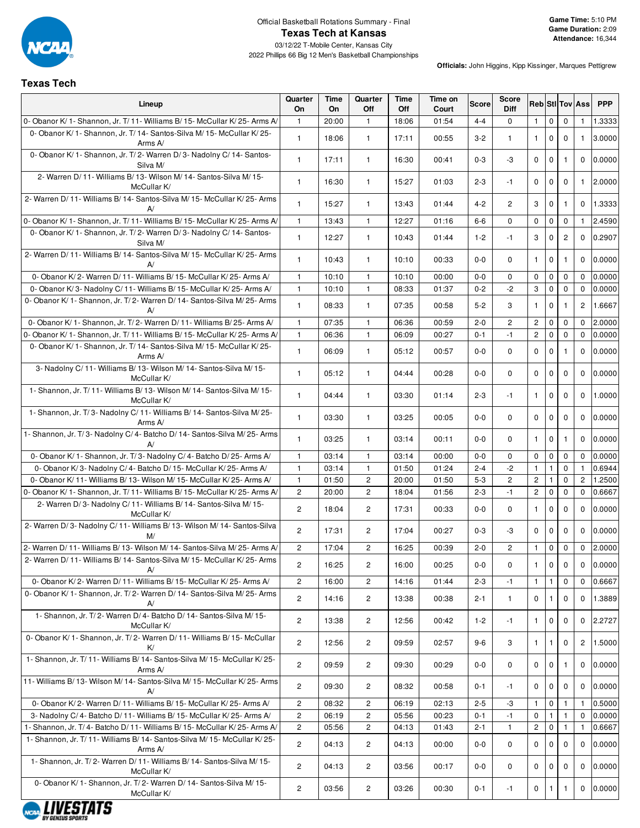

# Official Basketball Rotations Summary - Final **Texas Tech at Kansas**

03/12/22 T-Mobile Center, Kansas City 2022 Phillips 66 Big 12 Men's Basketball Championships

### **Texas Tech**

| Lineup                                                                              | Quarter<br>On  | Time<br>On | Quarter<br>Off | Time<br>Off | Time on<br>Court | Score   | <b>Score</b><br><b>Diff</b> |                |              |                | <b>Reb</b> Sti Tov Ass | <b>PPP</b> |
|-------------------------------------------------------------------------------------|----------------|------------|----------------|-------------|------------------|---------|-----------------------------|----------------|--------------|----------------|------------------------|------------|
| 0- Obanor K/ 1- Shannon, Jr. T/ 11- Williams B/ 15- McCullar K/ 25- Arms A/         | $\mathbf{1}$   | 20:00      | $\mathbf{1}$   | 18:06       | 01:54            | $4 - 4$ | $\mathbf 0$                 | $\mathbf{1}$   | 0            | 0              | $\mathbf{1}$           | 1.3333     |
| 0- Obanor K/1- Shannon, Jr. T/14- Santos-Silva M/15- McCullar K/25-<br>Arms A/      | $\mathbf{1}$   | 18:06      | $\mathbf{1}$   | 17:11       | 00:55            | $3-2$   | $\mathbf{1}$                | $\mathbf{1}$   | $\Omega$     | $\mathbf 0$    | $\mathbf{1}$           | 3.0000     |
| 0- Obanor K/ 1- Shannon, Jr. T/ 2- Warren D/ 3- Nadolny C/ 14- Santos-<br>Silva M/  | $\mathbf{1}$   | 17:11      | $\mathbf{1}$   | 16:30       | 00:41            | $0-3$   | -3                          | $\mathbf 0$    | $\mathbf 0$  | $\mathbf{1}$   | $\mathbf{0}$           | 0.0000     |
| 2- Warren D/11- Williams B/13- Wilson M/14- Santos-Silva M/15-<br>McCullar K/       | $\mathbf{1}$   | 16:30      | $\mathbf{1}$   | 15:27       | 01:03            | $2 - 3$ | -1                          | $\Omega$       | 0            | $\mathbf 0$    | $\mathbf{1}$           | 2.0000     |
| 2- Warren D/11- Williams B/14- Santos-Silva M/15- McCullar K/25- Arms<br>A/         | $\mathbf{1}$   | 15:27      | $\mathbf{1}$   | 13:43       | 01:44            | $4 - 2$ | $\overline{2}$              | 3              | $\mathbf 0$  | $\mathbf{1}$   | $\Omega$               | 1.3333     |
| 0- Obanor K/ 1- Shannon, Jr. T/ 11- Williams B/ 15- McCullar K/ 25- Arms A/         | $\mathbf{1}$   | 13:43      | 1              | 12:27       | 01:16            | $6-6$   | $\mathbf 0$                 | $\mathbf 0$    | 0            | 0              | $\mathbf{1}$           | 2.4590     |
| 0- Obanor K/1- Shannon, Jr. T/2- Warren D/3- Nadolny C/14- Santos-<br>Silva M/      | $\mathbf{1}$   | 12:27      | $\mathbf{1}$   | 10:43       | 01:44            | $1 - 2$ | -1                          | 3              | $\mathbf 0$  | $\overline{2}$ | $\Omega$               | 0.2907     |
| 2- Warren D/ 11- Williams B/ 14- Santos-Silva M/ 15- McCullar K/ 25- Arms<br>A      | $\mathbf{1}$   | 10:43      | $\mathbf{1}$   | 10:10       | 00:33            | $0 - 0$ | $\mathbf 0$                 | $\mathbf{1}$   | 0            | $\mathbf{1}$   | $\mathbf{0}$           | 0.0000     |
| 0- Obanor K/2- Warren D/11- Williams B/15- McCullar K/25- Arms A/                   | $\mathbf{1}$   | 10:10      | $\overline{1}$ | 10:10       | 00:00            | $0-0$   | 0                           | 0              | 0            | 0              | $\mathbf{0}$           | 0.0000     |
| 0- Obanor K/3- Nadolny C/11- Williams B/15- McCullar K/25- Arms A/                  | $\mathbf{1}$   | 10:10      | $\overline{1}$ | 08:33       | 01:37            | $0 - 2$ | $-2$                        | 3              | $\mathbf 0$  | $\mathbf 0$    | $\Omega$               | 0.0000     |
| 0- Obanor K/ 1- Shannon, Jr. T/ 2- Warren D/ 14- Santos-Silva M/ 25- Arms<br>A      | $\mathbf{1}$   | 08:33      | $\mathbf{1}$   | 07:35       | 00:58            | $5 - 2$ | 3                           | $\mathbf{1}$   | $\mathbf 0$  | 1              | $\overline{c}$         | 1.6667     |
| 0- Obanor K/ 1- Shannon, Jr. T/ 2- Warren D/ 11- Williams B/ 25- Arms A/            | $\mathbf{1}$   | 07:35      | $\mathbf{1}$   | 06:36       | 00:59            | $2 - 0$ | $\mathbf{2}$                | $\overline{c}$ | $\mathbf 0$  | $\mathbf 0$    | $\mathbf{0}$           | 2.0000     |
| 0- Obanor K/1- Shannon, Jr. T/11- Williams B/15- McCullar K/25- Arms A/             | $\mathbf{1}$   | 06:36      | $\mathbf{1}$   | 06:09       | 00:27            | $0 - 1$ | $-1$                        | $\overline{c}$ | $\mathbf 0$  | $\mathbf 0$    | $\Omega$               | 0.0000     |
| 0- Obanor K/ 1- Shannon, Jr. T/ 14- Santos-Silva M/ 15- McCullar K/ 25-<br>Arms A/  | $\mathbf{1}$   | 06:09      | $\mathbf{1}$   | 05:12       | 00:57            | $0-0$   | $\mathbf 0$                 | 0              | 0            | $\mathbf{1}$   | $\Omega$               | 0.0000     |
| 3- Nadolny C/11- Williams B/13- Wilson M/14- Santos-Silva M/15-<br>McCullar K/      | $\mathbf{1}$   | 05:12      | $\mathbf{1}$   | 04:44       | 00:28            | $0-0$   | $\mathbf 0$                 | 0              | 0            | $\mathbf 0$    | $\Omega$               | 0.0000     |
| 1- Shannon, Jr. T/11- Williams B/13- Wilson M/14- Santos-Silva M/15-<br>McCullar K/ | $\mathbf{1}$   | 04:44      | 1              | 03:30       | 01:14            | $2 - 3$ | -1                          | $\mathbf{1}$   | 0            | $\mathbf 0$    | $\Omega$               | 1.0000     |
| 1- Shannon, Jr. T/3- Nadolny C/11- Williams B/14- Santos-Silva M/25-<br>Arms A/     | $\mathbf{1}$   | 03:30      | $\mathbf{1}$   | 03:25       | 00:05            | $0 - 0$ | $\mathbf 0$                 | $\mathbf 0$    | 0            | $\mathbf 0$    | $\Omega$               | 0.0000     |
| 1- Shannon, Jr. T/3- Nadolny C/4- Batcho D/14- Santos-Silva M/25- Arms<br>A/        | $\mathbf{1}$   | 03:25      | $\mathbf{1}$   | 03:14       | 00:11            | 0-0     | 0                           | $\mathbf{1}$   | $\mathbf 0$  | 1              | $\Omega$               | 0.0000     |
| 0- Obanor K/ 1- Shannon, Jr. T/ 3- Nadolny C/ 4- Batcho D/ 25- Arms A/              | $\mathbf{1}$   | 03:14      | $\mathbf{1}$   | 03:14       | 00:00            | $0-0$   | $\mathbf 0$                 | $\Omega$       | $\mathbf 0$  | $\mathbf 0$    | $\Omega$               | 0.0000     |
| 0- Obanor K/3- Nadolny C/4- Batcho D/15- McCullar K/25- Arms A/                     | $\mathbf{1}$   | 03:14      | $\mathbf{1}$   | 01:50       | 01:24            | $2 - 4$ | $-2$                        | $\mathbf{1}$   | 1            | 0              | $\mathbf{1}$           | 0.6944     |
| 0- Obanor K/11- Williams B/13- Wilson M/15- McCullar K/25- Arms A/                  | $\mathbf{1}$   | 01:50      | $\overline{2}$ | 20:00       | 01:50            | $5 - 3$ | $\overline{2}$              | $\mathbf{2}$   | $\mathbf{1}$ | $\mathbf 0$    | $\overline{2}$         | 1.2500     |
| 0- Obanor K/ 1- Shannon, Jr. T/ 11- Williams B/ 15- McCullar K/ 25- Arms A/         | $\overline{2}$ | 20:00      | $\overline{c}$ | 18:04       | 01:56            | $2 - 3$ | $-1$                        | $\mathbf{2}$   | $\mathbf 0$  | $\mathbf 0$    | $\mathbf{0}$           | 0.6667     |
| 2- Warren D/3- Nadolny C/11- Williams B/14- Santos-Silva M/15-<br>McCullar K/       | $\overline{c}$ | 18:04      | 2              | 17:31       | 00:33            | $0-0$   | $\mathbf 0$                 | $\mathbf{1}$   | 0            | $\mathbf 0$    | $\Omega$               | 0.0000     |
| 2- Warren D/3- Nadolny C/11- Williams B/13- Wilson M/14- Santos-Silva<br>M/         | $\mathbf{2}$   | 17:31      | $\overline{c}$ | 17:04       | 00:27            | $0-3$   | -3                          | $\mathbf 0$    | 0            | $\mathbf 0$    | $\mathbf 0$            | 0.0000     |
| 2- Warren D/11- Williams B/13- Wilson M/14- Santos-Silva M/25- Arms A/              | $\mathbf{2}$   | 17:04      | $\mathbf{2}$   | 16:25       | 00:39            | $2 - 0$ | $\mathbf{2}$                | $\mathbf{1}$   | 0            | 0              | $\mathbf{0}$           | 2.0000     |
| 2- Warren D/ 11- Williams B/ 14- Santos-Silva M/ 15- McCullar K/ 25- Arms<br>A/     | 2              | 16:25      | 2              | 16:00       | 00:25            | $0-0$   | 0                           |                | 100          |                | 0                      | 0.0000     |
| 0- Obanor K/2- Warren D/11- Williams B/15- McCullar K/25- Arms A/                   | $\overline{2}$ | 16:00      | $\overline{2}$ | 14:16       | 01:44            | $2 - 3$ | $-1$                        | $\mathbf{1}$   | $\mathbf{1}$ | $\mathbf 0$    | $\mathbf 0$            | 0.6667     |
| 0- Obanor K/ 1- Shannon, Jr. T/ 2- Warren D/ 14- Santos-Silva M/ 25- Arms<br>A      | $\mathbf{2}$   | 14:16      | 2              | 13:38       | 00:38            | $2 - 1$ | $\mathbf{1}$                | 0              | $\mathbf{1}$ | $\mathbf 0$    | $\mathbf{0}$           | 1.3889     |
| 1- Shannon, Jr. T/2- Warren D/4- Batcho D/14- Santos-Silva M/15-<br>McCullar K/     | $\mathbf{2}$   | 13:38      | $\overline{2}$ | 12:56       | 00:42            | $1 - 2$ | $-1$                        | $\mathbf{1}$   | 0            | 0              | $\mathbf 0$            | 2.2727     |
| 0- Obanor K/1- Shannon, Jr. T/2- Warren D/11- Williams B/15- McCullar<br>K/         | $\mathbf{2}$   | 12:56      | $\overline{2}$ | 09:59       | 02:57            | 9-6     | 3                           | $\mathbf{1}$   | $\mathbf{1}$ | $\mathbf 0$    | $\overline{c}$         | 1.5000     |
| 1- Shannon, Jr. T/11- Williams B/14- Santos-Silva M/15- McCullar K/25-<br>Arms A/   | $\mathbf{2}$   | 09:59      | $\overline{2}$ | 09:30       | 00:29            | $0 - 0$ | $\mathbf{0}$                | $\mathbf{0}$   | $\mathbf{0}$ | $\mathbf{1}$   | $\mathbf 0$            | 0.0000     |
| 11- Williams B/ 13- Wilson M/ 14- Santos-Silva M/ 15- McCullar K/ 25- Arms<br>A     | $\overline{2}$ | 09:30      | $\overline{2}$ | 08:32       | 00:58            | $0 - 1$ | -1                          | 0              | $\mathbf{0}$ | $\mathbf{0}$   | $\mathbf 0$            | 0.0000     |
| 0- Obanor K/2- Warren D/11- Williams B/15- McCullar K/25- Arms A/                   | $\overline{c}$ | 08:32      | 2              | 06:19       | 02:13            | $2 - 5$ | -3                          | 1              | 0            | 1              |                        | 0.5000     |
| 3- Nadolny C/4- Batcho D/11- Williams B/15- McCullar K/25- Arms A/                  | $\mathbf{2}$   | 06:19      | $\mathbf{2}$   | 05:56       | 00:23            | 0-1     | $-1$                        | 0              | -1           | 1.             | $\mathbf{0}$           | 0.0000     |
| 1- Shannon, Jr. T/ 4- Batcho D/ 11- Williams B/ 15- McCullar K/ 25- Arms A/         | $\mathbf{2}$   | 05:56      | $\overline{c}$ | 04:13       | 01:43            | $2 - 1$ | $\mathbf{1}$                | $\overline{c}$ | $\mathbf 0$  | 1              | 1                      | 0.6667     |
| 1- Shannon, Jr. T/11- Williams B/14- Santos-Silva M/15- McCullar K/25-<br>Arms A/   | $\overline{c}$ | 04:13      | $\overline{c}$ | 04:13       | 00:00            | $0-0$   | $\mathbf 0$                 | 0              | 0            | $\mathbf 0$    | $\mathbf 0$            | 0.0000     |
| 1- Shannon, Jr. T/2- Warren D/11- Williams B/14- Santos-Silva M/15-<br>McCullar K/  | $\overline{c}$ | 04:13      | $\overline{c}$ | 03:56       | 00:17            | $0-0$   | $\mathbf 0$                 | $\mathbf 0$    | $\mathbf 0$  | $\mathbf 0$    | $\mathbf 0$            | 0.0000     |
| 0- Obanor K/ 1- Shannon, Jr. T/ 2- Warren D/ 14- Santos-Silva M/ 15-<br>McCullar K/ | $\mathbf{2}$   | 03:56      | $\overline{c}$ | 03:26       | 00:30            | $0 - 1$ | $-1$                        | 0              | $\mathbf{1}$ | $\mathbf{1}$   | $\mathbf 0$            | 0.0000     |

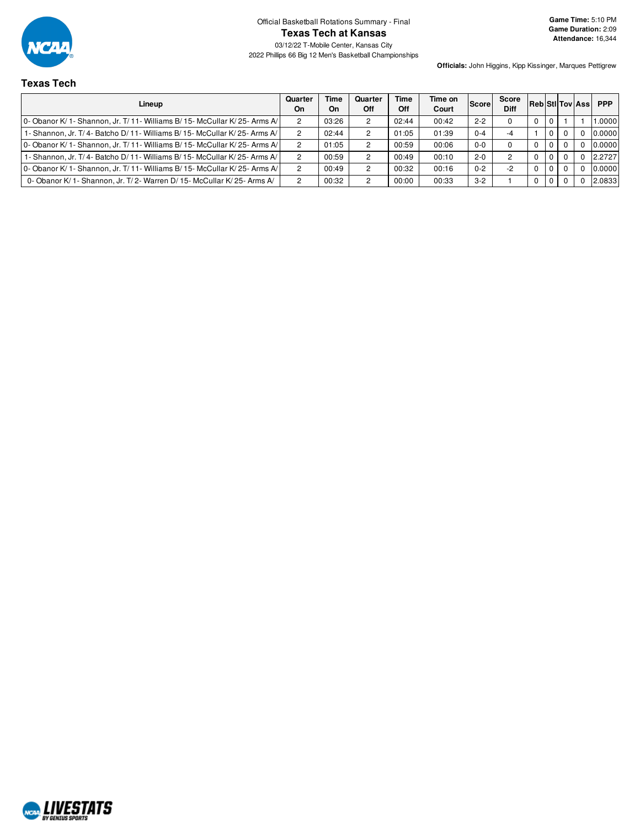

Official Basketball Rotations Summary - Final **Texas Tech at Kansas**

03/12/22 T-Mobile Center, Kansas City 2022 Phillips 66 Big 12 Men's Basketball Championships **Game Time:** 5:10 PM **Game Duration:** 2:09 **Attendance:** 16,344

### **Texas Tech**

| Lineup                                                                       | Quarter<br>On | <b>Time</b><br>On | Quarter<br><b>Off</b> | Time<br>Off | Time on<br>Court | <b>Score</b> | Score<br><b>Diff</b> |          |             | <b>RebiStilToviAssi</b> | <b>PPP</b> |
|------------------------------------------------------------------------------|---------------|-------------------|-----------------------|-------------|------------------|--------------|----------------------|----------|-------------|-------------------------|------------|
| 10- Obanor K/ 1- Shannon, Jr. T/ 11- Williams B/ 15- McCullar K/ 25- Arms A/ |               | 03:26             |                       | 02:44       | 00:42            | $2 - 2$      |                      | $\Omega$ | $\Omega$    |                         | .0000      |
| 1- Shannon, Jr. T/4- Batcho D/11- Williams B/15- McCullar K/25- Arms A/      |               | 02:44             |                       | 01:05       | 01:39            | $0 - 4$      | $-4$                 |          | $\mathbf 0$ |                         | 0.0000     |
| O- Obanor K/ 1- Shannon. Jr. T/ 11- Williams B/ 15- McCullar K/ 25- Arms A/  |               | 01:05             |                       | 00:59       | 00:06            | $0 - 0$      |                      |          | $\Omega$    | 0                       | 0.0000     |
| 1- Shannon, Jr. T/4- Batcho D/11- Williams B/15- McCullar K/25- Arms A/      |               | 00:59             |                       | 00:49       | 00:10            | $2 - 0$      |                      |          | $\Omega$    |                         | 2.2727     |
| 0- Obanor K/ 1- Shannon, Jr. T/ 11- Williams B/ 15- McCullar K/ 25- Arms A/  |               | 00:49             |                       | 00:32       | 00:16            | $0 - 2$      | -2                   | $\Omega$ | $\Omega$    | $\Omega$                | 0.0000     |
| 0- Obanor K/ 1- Shannon, Jr. T/ 2- Warren D/ 15- McCullar K/ 25- Arms A/     | 2             | 00:32             |                       | 00:00       | 00:33            | $3-2$        |                      | 0        | 0           |                         | 2.0833     |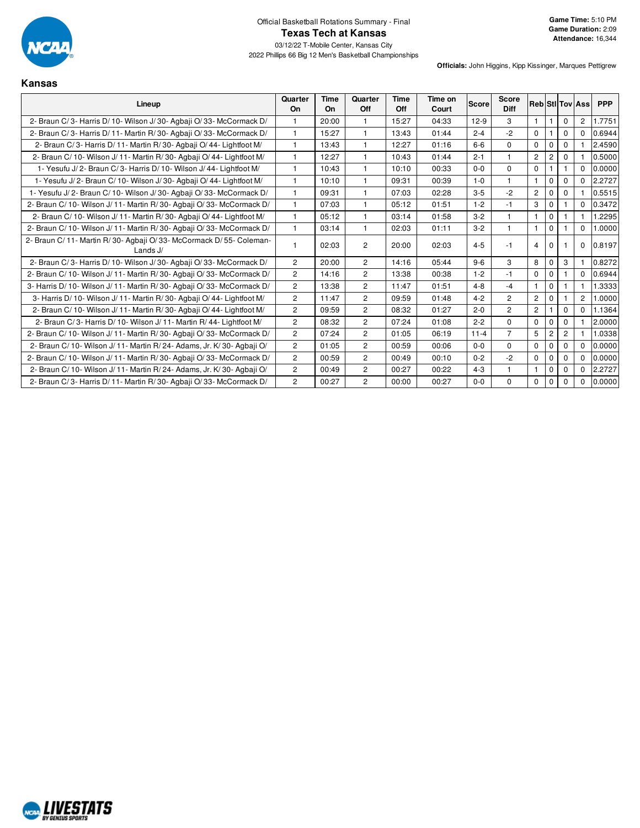

2022 Phillips 66 Big 12 Men's Basketball Championships

**Kansas**

| Lineup                                                                        | Quarter<br><b>On</b> | Time<br>On | Quarter<br><b>Off</b> | Time<br>Off | Time on<br>Court | <b>Score</b> | <b>Score</b><br><b>Diff</b> |                |                |                | <b>Reb</b> StilTov Ass | <b>PPP</b> |
|-------------------------------------------------------------------------------|----------------------|------------|-----------------------|-------------|------------------|--------------|-----------------------------|----------------|----------------|----------------|------------------------|------------|
| 2- Braun C/3- Harris D/10- Wilson J/30- Agbaii O/33- McCormack D/             |                      | 20:00      | 1                     | 15:27       | 04:33            | $12-9$       | 3                           | $\mathbf{1}$   |                | 0              | 2                      | 1.7751     |
| 2- Braun C/3- Harris D/11- Martin R/30- Agbaji O/33- McCormack D/             | $\overline{1}$       | 15:27      | 1                     | 13:43       | 01:44            | $2 - 4$      | $-2$                        | $\mathbf 0$    |                | $\Omega$       | $\Omega$               | 0.6944     |
| 2- Braun C/3- Harris D/11- Martin R/30- Agbaii O/44- Lightfoot M/             | 1                    | 13:43      | 1                     | 12:27       | 01:16            | $6 - 6$      | $\Omega$                    | 0              | $\mathbf{0}$   | $\Omega$       |                        | 2.4590     |
| 2- Braun C/ 10- Wilson J/ 11- Martin R/ 30- Agbaii O/ 44- Lightfoot M/        | 1                    | 12:27      | 1                     | 10:43       | 01:44            | $2 - 1$      | 1                           | $\overline{2}$ | $\overline{2}$ | $\Omega$       |                        | 0.5000     |
| 1- Yesufu J/2- Braun C/3- Harris D/10- Wilson J/44- Lightfoot M/              | 1                    | 10:43      | 1                     | 10:10       | 00:33            | $0 - 0$      | $\Omega$                    | $\mathbf 0$    |                |                | $\Omega$               | 0.0000     |
| 1- Yesufu J/2- Braun C/10- Wilson J/30- Agbaji O/44- Lightfoot M/             | $\mathbf{1}$         | 10:10      | 1.                    | 09:31       | 00:39            | $1 - 0$      | 1                           | $\mathbf{1}$   | $\mathbf 0$    | $\Omega$       | $\Omega$               | 2.2727     |
| 1- Yesufu J/2- Braun C/10- Wilson J/30- Agbaji O/33- McCormack D/             | $\overline{1}$       | 09:31      | 1                     | 07:03       | 02:28            | $3-5$        | $-2$                        | $\overline{c}$ | $\mathbf 0$    | $\Omega$       |                        | 0.5515     |
| 2- Braun C/10- Wilson J/11- Martin R/30- Agbaji O/33- McCormack D/            | 1                    | 07:03      | 1                     | 05:12       | 01:51            | $1 - 2$      | $-1$                        | 3              | $\Omega$       |                | $\Omega$               | 0.3472     |
| 2- Braun C/ 10- Wilson J/ 11- Martin R/ 30- Agbaii O/ 44- Lightfoot M/        | $\mathbf{1}$         | 05:12      | 1                     | 03:14       | 01:58            | $3 - 2$      | 1                           | $\mathbf{1}$   | $\mathbf{0}$   |                |                        | 1.2295     |
| 2- Braun C/10- Wilson J/11- Martin R/30- Agbaji O/33- McCormack D/            | $\overline{1}$       | 03:14      | 1                     | 02:03       | 01:11            | $3 - 2$      | 1                           | $\mathbf{1}$   | $\Omega$       |                | $\Omega$               | 1.0000     |
| 2- Braun C/11- Martin R/30- Agbaji O/33- McCormack D/55- Coleman-<br>Lands J/ |                      | 02:03      | $\overline{c}$        | 20:00       | 02:03            | $4 - 5$      | $-1$                        | $\overline{4}$ | $\Omega$       |                | $\mathbf 0$            | 0.8197     |
| 2- Braun C/3- Harris D/10- Wilson J/30- Agbaji O/33- McCormack D/             | $\overline{2}$       | 20:00      | $\overline{2}$        | 14:16       | 05:44            | $9-6$        | 3                           | 8              | $\mathbf 0$    | 3              |                        | 0.8272     |
| 2- Braun C/ 10- Wilson J/ 11- Martin R/ 30- Agbaji O/ 33- McCormack D/        | $\overline{2}$       | 14:16      | $\overline{2}$        | 13:38       | 00:38            | $1 - 2$      | $-1$                        | $\mathbf 0$    | $\mathbf 0$    |                | $\Omega$               | 0.6944     |
| 3- Harris D/10- Wilson J/11- Martin R/30- Agbaji O/33- McCormack D/           | $\overline{2}$       | 13:38      | $\overline{2}$        | 11:47       | 01:51            | $4 - 8$      | $-4$                        | $\mathbf{1}$   | $\mathbf{0}$   |                |                        | 1.3333     |
| 3- Harris D/ 10- Wilson J/ 11- Martin R/ 30- Agbaji O/ 44- Lightfoot M/       | $\overline{2}$       | 11:47      | $\overline{2}$        | 09:59       | 01:48            | $4 - 2$      | $\overline{2}$              | $\overline{2}$ | $\mathbf 0$    |                | $\overline{2}$         | 1.0000     |
| 2- Braun C/ 10- Wilson J/ 11- Martin R/ 30- Agbaji O/ 44- Lightfoot M/        | $\mathbf{2}$         | 09:59      | $\overline{2}$        | 08:32       | 01:27            | $2 - 0$      | $\overline{2}$              | $\overline{c}$ |                | 0              | $\Omega$               | 1.1364     |
| 2- Braun C/3- Harris D/10- Wilson J/11- Martin R/44- Lightfoot M/             | $\overline{2}$       | 08:32      | $\overline{2}$        | 07:24       | 01:08            | $2 - 2$      | $\Omega$                    | $\Omega$       | $\mathbf 0$    | $\Omega$       |                        | 2.0000     |
| 2- Braun C/ 10- Wilson J/ 11- Martin R/ 30- Agbaji O/ 33- McCormack D/        | $\overline{2}$       | 07:24      | $\overline{2}$        | 01:05       | 06:19            | $11 - 4$     | $\overline{7}$              | 5              | $\overline{2}$ | $\overline{2}$ |                        | 1.0338     |
| 2- Braun C/10- Wilson J/11- Martin R/24- Adams, Jr. K/30- Agbaji O/           | $\overline{2}$       | 01:05      | $\overline{2}$        | 00:59       | 00:06            | $0-0$        | $\Omega$                    | $\mathbf 0$    | $\mathbf 0$    | $\Omega$       | $\Omega$               | 0.0000     |
| 2- Braun C/ 10- Wilson J/ 11- Martin R/ 30- Agbaji O/ 33- McCormack D/        | $\overline{2}$       | 00:59      | $\overline{2}$        | 00:49       | 00:10            | $0 - 2$      | $-2$                        | 0              | $\mathbf{0}$   | $\Omega$       | $\Omega$               | 0.0000     |
| 2- Braun C/10- Wilson J/11- Martin R/24- Adams, Jr. K/30- Agbaji O/           | $\mathbf{2}$         | 00:49      | $\overline{2}$        | 00:27       | 00:22            | $4 - 3$      | $\mathbf{1}$                | $\mathbf{1}$   | $\mathbf{0}$   | $\mathbf 0$    | $\Omega$               | 2.2727     |
| 2- Braun C/3- Harris D/11- Martin R/30- Agbaii O/33- McCormack D/             | $\overline{2}$       | 00:27      | $\overline{2}$        | 00:00       | 00:27            | $0-0$        | $\Omega$                    | $\mathbf 0$    | $\mathbf 0$    | $\Omega$       | $\Omega$               | 0.0000     |

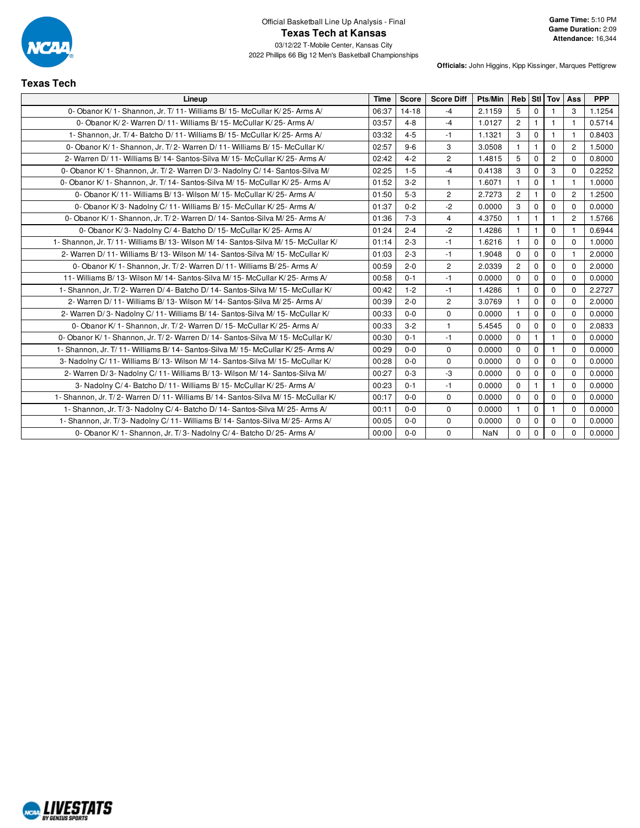

**Texas Tech**

| Lineup                                                                               | <b>Time</b> | Score     | <b>Score Diff</b> | Pts/Min | Reb Stl Tov    |              |                | Ass            | <b>PPP</b> |
|--------------------------------------------------------------------------------------|-------------|-----------|-------------------|---------|----------------|--------------|----------------|----------------|------------|
| 0- Obanor K/1- Shannon, Jr. T/11- Williams B/15- McCullar K/25- Arms A/              | 06:37       | $14 - 18$ | $-4$              | 2.1159  | 5              | $\mathbf 0$  |                | 3              | 1.1254     |
| 0- Obanor K/2- Warren D/11- Williams B/15- McCullar K/25- Arms A/                    | 03:57       | $4 - 8$   | $-4$              | 1.0127  | $\overline{2}$ | $\mathbf{1}$ | $\overline{1}$ | $\mathbf{1}$   | 0.5714     |
| 1- Shannon, Jr. T/4- Batcho D/11- Williams B/15- McCullar K/25- Arms A/              | 03:32       | $4 - 5$   | $-1$              | 1.1321  | 3              | $\mathbf 0$  |                | $\mathbf{1}$   | 0.8403     |
| 0- Obanor K/ 1- Shannon, Jr. T/ 2- Warren D/ 11- Williams B/ 15- McCullar K/         | 02:57       | $9-6$     | 3                 | 3.0508  | $\mathbf{1}$   | $\mathbf{1}$ | $\Omega$       | $\overline{c}$ | 1.5000     |
| 2- Warren D/11- Williams B/14- Santos-Silva M/15- McCullar K/25- Arms A/             | 02:42       | $4 - 2$   | $\overline{2}$    | 1.4815  | 5              | $\mathbf 0$  | $\overline{2}$ | $\Omega$       | 0.8000     |
| 0- Obanor K/ 1- Shannon, Jr. T/ 2- Warren D/ 3- Nadolny C/ 14- Santos-Silva M/       | 02:25       | $1 - 5$   | $-4$              | 0.4138  | 3              | $\mathbf 0$  | 3              | $\Omega$       | 0.2252     |
| 0- Obanor K/1- Shannon, Jr. T/14- Santos-Silva M/15- McCullar K/25- Arms A/          | 01:52       | $3 - 2$   | $\mathbf{1}$      | 1.6071  |                | $\mathbf 0$  |                | $\mathbf{1}$   | 1.0000     |
| 0- Obanor K/11- Williams B/13- Wilson M/15- McCullar K/25- Arms A/                   | 01:50       | $5-3$     | $\overline{2}$    | 2.7273  | $\overline{c}$ | $\mathbf{1}$ | $\Omega$       | $\overline{2}$ | 1.2500     |
| 0- Obanor K/3- Nadolny C/11- Williams B/15- McCullar K/25- Arms A/                   | 01:37       | $0 - 2$   | $-2$              | 0.0000  | 3              | $\mathbf 0$  | $\Omega$       | $\Omega$       | 0.0000     |
| 0- Obanor K/1- Shannon, Jr. T/2- Warren D/14- Santos-Silva M/25- Arms A/             | 01:36       | $7 - 3$   | $\overline{4}$    | 4.3750  | $\mathbf{1}$   | $\mathbf{1}$ | $\mathbf{1}$   | $\overline{2}$ | 1.5766     |
| 0- Obanor K/3- Nadolny C/4- Batcho D/15- McCullar K/25- Arms A/                      | 01:24       | $2 - 4$   | $-2$              | 1.4286  | $\mathbf{1}$   | $\mathbf 1$  | $\Omega$       | 1              | 0.6944     |
| 1- Shannon, Jr. T/ 11- Williams B/ 13- Wilson M/ 14- Santos-Silva M/ 15- McCullar K/ | 01:14       | $2 - 3$   | $-1$              | 1.6216  | $\mathbf{1}$   | $\mathbf 0$  | $\mathbf 0$    | $\Omega$       | 1.0000     |
| 2- Warren D/11- Williams B/13- Wilson M/14- Santos-Silva M/15- McCullar K/           | 01:03       | $2 - 3$   | $-1$              | 1.9048  | $\Omega$       | $\mathbf 0$  | $\mathbf 0$    | $\mathbf{1}$   | 2.0000     |
| 0- Obanor K/ 1- Shannon, Jr. T/ 2- Warren D/ 11- Williams B/ 25- Arms A/             | 00:59       | $2 - 0$   | $\overline{c}$    | 2.0339  | $\overline{c}$ | $\mathbf 0$  | $\mathbf 0$    | $\Omega$       | 2.0000     |
| 11- Williams B/ 13- Wilson M/ 14- Santos-Silva M/ 15- McCullar K/ 25- Arms A/        | 00:58       | $0 - 1$   | $-1$              | 0.0000  | $\Omega$       | $\mathbf 0$  | $\mathbf 0$    | $\Omega$       | 0.0000     |
| 1- Shannon, Jr. T/2- Warren D/4- Batcho D/14- Santos-Silva M/15- McCullar K/         | 00:42       | $1 - 2$   | $-1$              | 1.4286  | $\mathbf{1}$   | $\mathbf 0$  | $\mathbf 0$    | $\Omega$       | 2.2727     |
| 2- Warren D/11- Williams B/13- Wilson M/14- Santos-Silva M/25- Arms A/               | 00:39       | $2 - 0$   | $\overline{2}$    | 3.0769  | $\mathbf{1}$   | $\mathbf 0$  | $\mathbf 0$    | $\Omega$       | 2.0000     |
| 2- Warren D/3- Nadolny C/11- Williams B/14- Santos-Silva M/15- McCullar K/           | 00:33       | $0 - 0$   | $\mathbf 0$       | 0.0000  | $\mathbf{1}$   | $\mathbf 0$  | $\mathbf 0$    | $\mathbf 0$    | 0.0000     |
| 0- Obanor K/ 1- Shannon, Jr. T/ 2- Warren D/ 15- McCullar K/ 25- Arms A/             | 00:33       | $3 - 2$   | $\mathbf{1}$      | 5.4545  | $\mathbf 0$    | $\mathbf 0$  | 0              | $\mathbf 0$    | 2.0833     |
| 0- Obanor K/ 1- Shannon, Jr. T/ 2- Warren D/ 14- Santos-Silva M/ 15- McCullar K/     | 00:30       | $0 - 1$   | $-1$              | 0.0000  | $\mathbf 0$    | $\mathbf{1}$ | $\overline{1}$ | $\Omega$       | 0.0000     |
| 1- Shannon, Jr. T/ 11- Williams B/ 14- Santos-Silva M/ 15- McCullar K/ 25- Arms A/   | 00:29       | $0 - 0$   | $\mathbf 0$       | 0.0000  | $\mathbf 0$    | 0            | $\mathbf{1}$   | $\Omega$       | 0.0000     |
| 3- Nadolny C/11- Williams B/13- Wilson M/14- Santos-Silva M/15- McCullar K/          | 00:28       | $0 - 0$   | $\mathbf 0$       | 0.0000  | $\mathbf 0$    | $\mathbf 0$  | $\mathbf 0$    | $\Omega$       | 0.0000     |
| 2- Warren D/3- Nadolny C/11- Williams B/13- Wilson M/14- Santos-Silva M/             | 00:27       | $0 - 3$   | $-3$              | 0.0000  | $\mathbf 0$    | $\mathbf 0$  | $\mathbf 0$    | $\Omega$       | 0.0000     |
| 3- Nadolny C/4- Batcho D/11- Williams B/15- McCullar K/25- Arms A/                   | 00:23       | $0 - 1$   | $-1$              | 0.0000  | $\mathbf 0$    | $\mathbf{1}$ | $\overline{1}$ | $\Omega$       | 0.0000     |
| 1- Shannon, Jr. T/ 2- Warren D/ 11- Williams B/ 14- Santos-Silva M/ 15- McCullar K/  | 00:17       | $0 - 0$   | $\mathbf 0$       | 0.0000  | $\mathbf 0$    | 0            | $\mathbf 0$    | $\Omega$       | 0.0000     |
| 1- Shannon, Jr. T/3- Nadolny C/4- Batcho D/14- Santos-Silva M/25- Arms A/            | 00:11       | $0 - 0$   | $\pmb{0}$         | 0.0000  | $\mathbf{1}$   | $\mathbf 0$  | $\mathbf 1$    | $\mathbf 0$    | 0.0000     |
| 1- Shannon, Jr. T/3- Nadolny C/11- Williams B/14- Santos-Silva M/25- Arms A/         | 00:05       | $0 - 0$   | $\mathbf 0$       | 0.0000  | $\mathbf 0$    | $\mathbf 0$  | $\mathbf 0$    | $\mathbf 0$    | 0.0000     |
| 0- Obanor K/1- Shannon, Jr. T/3- Nadolny C/4- Batcho D/25- Arms A/                   | 00:00       | $0-0$     | $\mathbf 0$       | NaN     | $\Omega$       | $\mathbf 0$  | $\Omega$       | $\Omega$       | 0.0000     |